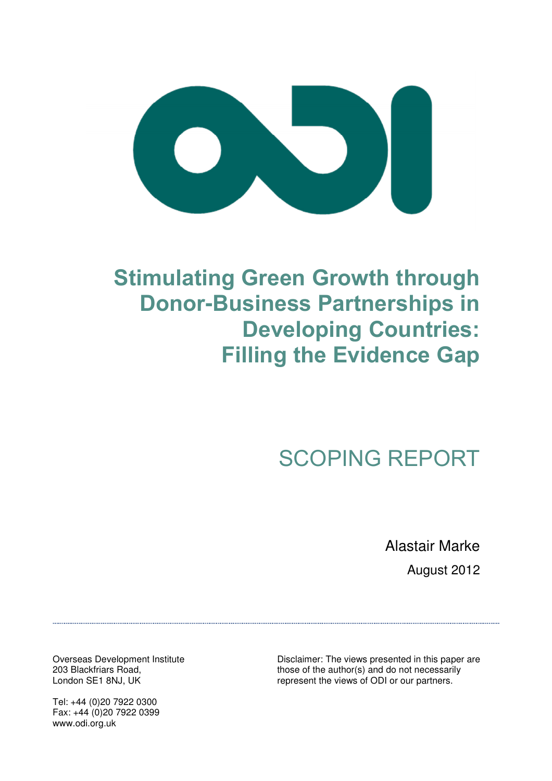

## Stimulating Green Growth through Donor**-**Business Partnerships in Developing Countries: Filling the Evidence Gap

## SCOPING REPORT

Alastair Marke August 2012

Overseas Development Institute 203 Blackfriars Road, London SE1 8NJ, UK

Tel: +44 (0)20 7922 0300 Fax: +44 (0)20 7922 0399 www.odi.org.uk

Disclaimer: The views presented in this paper are those of the author(s) and do not necessarily represent the views of ODI or our partners.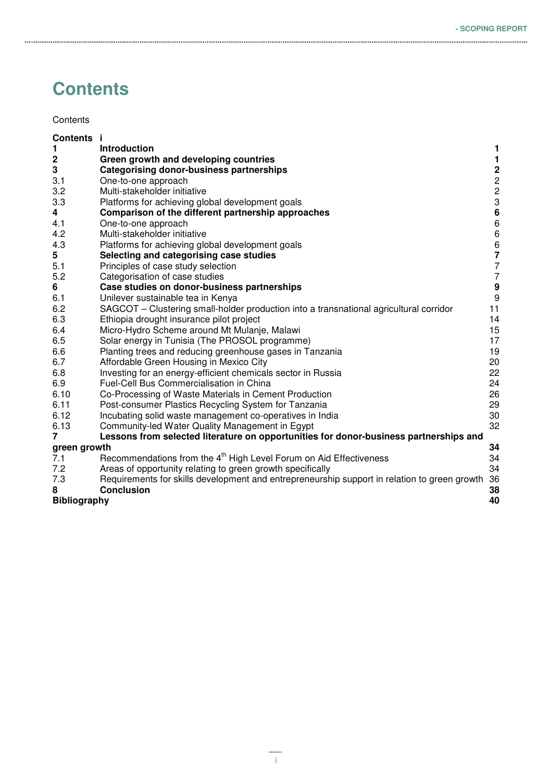### **Contents**

**Contents** 

| Contents i          |                                                                                              |                                            |
|---------------------|----------------------------------------------------------------------------------------------|--------------------------------------------|
| 1.                  | <b>Introduction</b>                                                                          | 1                                          |
| $\mathbf{2}$        | Green growth and developing countries                                                        | $\mathbf{1}$                               |
| 3                   | <b>Categorising donor-business partnerships</b>                                              | $\begin{array}{c} 2 \\ 2 \\ 2 \end{array}$ |
| 3.1                 | One-to-one approach                                                                          |                                            |
| 3.2                 | Multi-stakeholder initiative                                                                 |                                            |
| 3.3                 | Platforms for achieving global development goals                                             | $\ensuremath{\mathsf{3}}$                  |
| 4                   | Comparison of the different partnership approaches                                           | $\bf 6$                                    |
| 4.1                 | One-to-one approach                                                                          |                                            |
| 4.2                 | Multi-stakeholder initiative                                                                 |                                            |
| 4.3                 | Platforms for achieving global development goals                                             | 6<br>6<br>6<br>7                           |
| 5                   | Selecting and categorising case studies                                                      |                                            |
| 5.1                 | Principles of case study selection                                                           | $\boldsymbol{7}$                           |
| 5.2                 | Categorisation of case studies                                                               | $\boldsymbol{7}$                           |
| 6                   | Case studies on donor-business partnerships                                                  | $\begin{array}{c} 9 \\ 9 \end{array}$      |
| 6.1                 | Unilever sustainable tea in Kenya                                                            |                                            |
| 6.2                 | SAGCOT – Clustering small-holder production into a transnational agricultural corridor       | 11                                         |
| 6.3                 | Ethiopia drought insurance pilot project                                                     | 14                                         |
| 6.4                 | Micro-Hydro Scheme around Mt Mulanje, Malawi                                                 | 15                                         |
| 6.5                 | Solar energy in Tunisia (The PROSOL programme)                                               | 17                                         |
| 6.6                 | Planting trees and reducing greenhouse gases in Tanzania                                     | 19                                         |
| 6.7                 | Affordable Green Housing in Mexico City                                                      | 20                                         |
| 6.8                 | Investing for an energy-efficient chemicals sector in Russia                                 | 22                                         |
| 6.9                 | Fuel-Cell Bus Commercialisation in China                                                     | 24                                         |
| 6.10                | Co-Processing of Waste Materials in Cement Production                                        | 26                                         |
| 6.11                | Post-consumer Plastics Recycling System for Tanzania                                         | 29                                         |
| 6.12                | Incubating solid waste management co-operatives in India                                     | 30                                         |
| 6.13                | Community-led Water Quality Management in Egypt                                              | 32                                         |
| $\overline{7}$      | Lessons from selected literature on opportunities for donor-business partnerships and        |                                            |
| green growth        |                                                                                              | 34                                         |
| 7.1                 | Recommendations from the 4 <sup>th</sup> High Level Forum on Aid Effectiveness               | 34                                         |
| 7.2                 | Areas of opportunity relating to green growth specifically                                   | 34                                         |
| 7.3                 | Requirements for skills development and entrepreneurship support in relation to green growth | 36                                         |
| 8                   | <b>Conclusion</b>                                                                            | 38                                         |
| <b>Bibliography</b> |                                                                                              | 40                                         |

i

 $\cdots$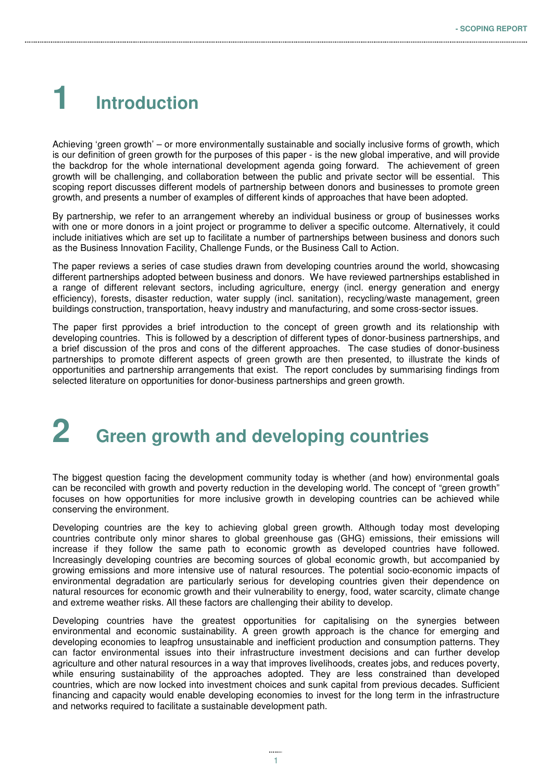# **1 Introduction**

Achieving 'green growth' – or more environmentally sustainable and socially inclusive forms of growth, which is our definition of green growth for the purposes of this paper - is the new global imperative, and will provide the backdrop for the whole international development agenda going forward. The achievement of green growth will be challenging, and collaboration between the public and private sector will be essential. This scoping report discusses different models of partnership between donors and businesses to promote green growth, and presents a number of examples of different kinds of approaches that have been adopted.

By partnership, we refer to an arrangement whereby an individual business or group of businesses works with one or more donors in a joint project or programme to deliver a specific outcome. Alternatively, it could include initiatives which are set up to facilitate a number of partnerships between business and donors such as the Business Innovation Facility, Challenge Funds, or the Business Call to Action.

The paper reviews a series of case studies drawn from developing countries around the world, showcasing different partnerships adopted between business and donors. We have reviewed partnerships established in a range of different relevant sectors, including agriculture, energy (incl. energy generation and energy efficiency), forests, disaster reduction, water supply (incl. sanitation), recycling/waste management, green buildings construction, transportation, heavy industry and manufacturing, and some cross-sector issues.

The paper first pprovides a brief introduction to the concept of green growth and its relationship with developing countries. This is followed by a description of different types of donor-business partnerships, and a brief discussion of the pros and cons of the different approaches. The case studies of donor-business partnerships to promote different aspects of green growth are then presented, to illustrate the kinds of opportunities and partnership arrangements that exist. The report concludes by summarising findings from selected literature on opportunities for donor-business partnerships and green growth.

# **2 Green growth and developing countries**

The biggest question facing the development community today is whether (and how) environmental goals can be reconciled with growth and poverty reduction in the developing world. The concept of "green growth" focuses on how opportunities for more inclusive growth in developing countries can be achieved while conserving the environment.

Developing countries are the key to achieving global green growth. Although today most developing countries contribute only minor shares to global greenhouse gas (GHG) emissions, their emissions will increase if they follow the same path to economic growth as developed countries have followed. Increasingly developing countries are becoming sources of global economic growth, but accompanied by growing emissions and more intensive use of natural resources. The potential socio-economic impacts of environmental degradation are particularly serious for developing countries given their dependence on natural resources for economic growth and their vulnerability to energy, food, water scarcity, climate change and extreme weather risks. All these factors are challenging their ability to develop.

Developing countries have the greatest opportunities for capitalising on the synergies between environmental and economic sustainability. A green growth approach is the chance for emerging and developing economies to leapfrog unsustainable and inefficient production and consumption patterns. They can factor environmental issues into their infrastructure investment decisions and can further develop agriculture and other natural resources in a way that improves livelihoods, creates jobs, and reduces poverty, while ensuring sustainability of the approaches adopted. They are less constrained than developed countries, which are now locked into investment choices and sunk capital from previous decades. Sufficient financing and capacity would enable developing economies to invest for the long term in the infrastructure and networks required to facilitate a sustainable development path.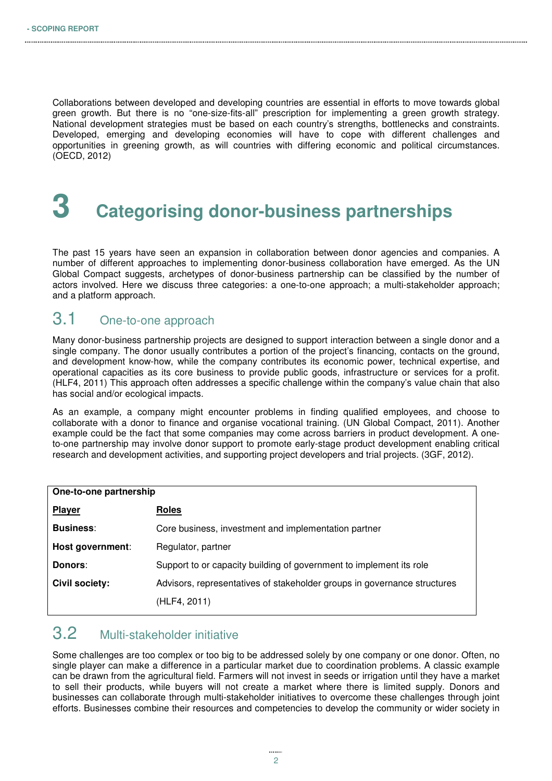Collaborations between developed and developing countries are essential in efforts to move towards global green growth. But there is no "one-size-fits-all" prescription for implementing a green growth strategy. National development strategies must be based on each country's strengths, bottlenecks and constraints. Developed, emerging and developing economies will have to cope with different challenges and opportunities in greening growth, as will countries with differing economic and political circumstances. (OECD, 2012)

# **3 Categorising donor-business partnerships**

The past 15 years have seen an expansion in collaboration between donor agencies and companies. A number of different approaches to implementing donor-business collaboration have emerged. As the UN Global Compact suggests, archetypes of donor-business partnership can be classified by the number of actors involved. Here we discuss three categories: a one-to-one approach; a multi-stakeholder approach; and a platform approach.

### 3.1 One-to-one approach

Many donor-business partnership projects are designed to support interaction between a single donor and a single company. The donor usually contributes a portion of the project's financing, contacts on the ground, and development know-how, while the company contributes its economic power, technical expertise, and operational capacities as its core business to provide public goods, infrastructure or services for a profit. (HLF4, 2011) This approach often addresses a specific challenge within the company's value chain that also has social and/or ecological impacts.

As an example, a company might encounter problems in finding qualified employees, and choose to collaborate with a donor to finance and organise vocational training. (UN Global Compact, 2011). Another example could be the fact that some companies may come across barriers in product development. A oneto-one partnership may involve donor support to promote early-stage product development enabling critical research and development activities, and supporting project developers and trial projects. (3GF, 2012).

| One-to-one partnership                                                                     |                                                                     |  |
|--------------------------------------------------------------------------------------------|---------------------------------------------------------------------|--|
| <b>Player</b>                                                                              | <b>Roles</b>                                                        |  |
| <b>Business:</b>                                                                           | Core business, investment and implementation partner                |  |
| Host government:                                                                           | Regulator, partner                                                  |  |
| Donors:                                                                                    | Support to or capacity building of government to implement its role |  |
| Civil society:<br>Advisors, representatives of stakeholder groups in governance structures |                                                                     |  |
|                                                                                            | (HLF4, 2011)                                                        |  |

### 3.2 Multi-stakeholder initiative

Some challenges are too complex or too big to be addressed solely by one company or one donor. Often, no single player can make a difference in a particular market due to coordination problems. A classic example can be drawn from the agricultural field. Farmers will not invest in seeds or irrigation until they have a market to sell their products, while buyers will not create a market where there is limited supply. Donors and businesses can collaborate through multi-stakeholder initiatives to overcome these challenges through joint efforts. Businesses combine their resources and competencies to develop the community or wider society in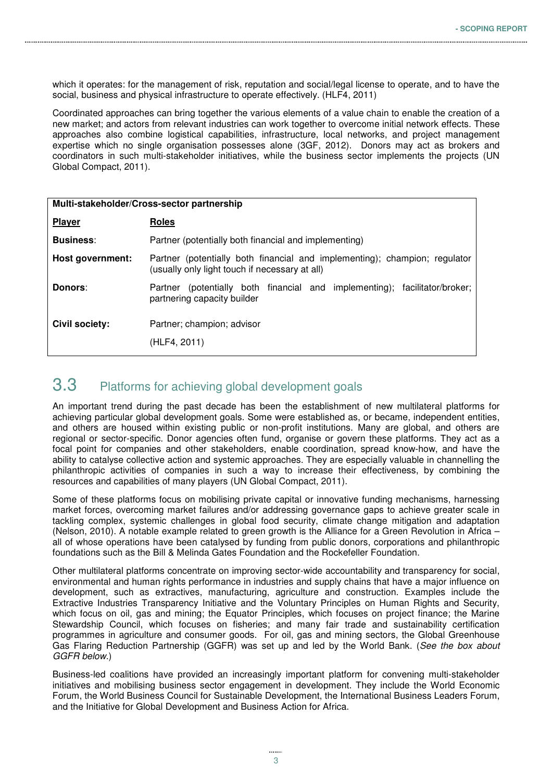which it operates: for the management of risk, reputation and social/legal license to operate, and to have the social, business and physical infrastructure to operate effectively. (HLF4, 2011)

Coordinated approaches can bring together the various elements of a value chain to enable the creation of a new market; and actors from relevant industries can work together to overcome initial network effects. These approaches also combine logistical capabilities, infrastructure, local networks, and project management expertise which no single organisation possesses alone (3GF, 2012). Donors may act as brokers and coordinators in such multi-stakeholder initiatives, while the business sector implements the projects (UN Global Compact, 2011).

| Multi-stakeholder/Cross-sector partnership |                                                                                                                              |  |
|--------------------------------------------|------------------------------------------------------------------------------------------------------------------------------|--|
| <b>Player</b>                              | <b>Roles</b>                                                                                                                 |  |
| <b>Business:</b>                           | Partner (potentially both financial and implementing)                                                                        |  |
| Host government:                           | Partner (potentially both financial and implementing); champion; regulator<br>(usually only light touch if necessary at all) |  |
| Donors:                                    | (potentially both financial and implementing); facilitator/broker;<br>Partner<br>partnering capacity builder                 |  |
| Civil society:                             | Partner; champion; advisor<br>(HLF4, 2011)                                                                                   |  |

### 3.3 Platforms for achieving global development goals

An important trend during the past decade has been the establishment of new multilateral platforms for achieving particular global development goals. Some were established as, or became, independent entities, and others are housed within existing public or non-profit institutions. Many are global, and others are regional or sector-specific. Donor agencies often fund, organise or govern these platforms. They act as a focal point for companies and other stakeholders, enable coordination, spread know-how, and have the ability to catalyse collective action and systemic approaches. They are especially valuable in channelling the philanthropic activities of companies in such a way to increase their effectiveness, by combining the resources and capabilities of many players (UN Global Compact, 2011).

Some of these platforms focus on mobilising private capital or innovative funding mechanisms, harnessing market forces, overcoming market failures and/or addressing governance gaps to achieve greater scale in tackling complex, systemic challenges in global food security, climate change mitigation and adaptation (Nelson, 2010). A notable example related to green growth is the Alliance for a Green Revolution in Africa – all of whose operations have been catalysed by funding from public donors, corporations and philanthropic foundations such as the Bill & Melinda Gates Foundation and the Rockefeller Foundation.

Other multilateral platforms concentrate on improving sector-wide accountability and transparency for social, environmental and human rights performance in industries and supply chains that have a major influence on development, such as extractives, manufacturing, agriculture and construction. Examples include the Extractive Industries Transparency Initiative and the Voluntary Principles on Human Rights and Security, which focus on oil, gas and mining; the Equator Principles, which focuses on project finance; the Marine Stewardship Council, which focuses on fisheries; and many fair trade and sustainability certification programmes in agriculture and consumer goods. For oil, gas and mining sectors, the Global Greenhouse Gas Flaring Reduction Partnership (GGFR) was set up and led by the World Bank. (See the box about GGFR below.)

Business-led coalitions have provided an increasingly important platform for convening multi-stakeholder initiatives and mobilising business sector engagement in development. They include the World Economic Forum, the World Business Council for Sustainable Development, the International Business Leaders Forum, and the Initiative for Global Development and Business Action for Africa.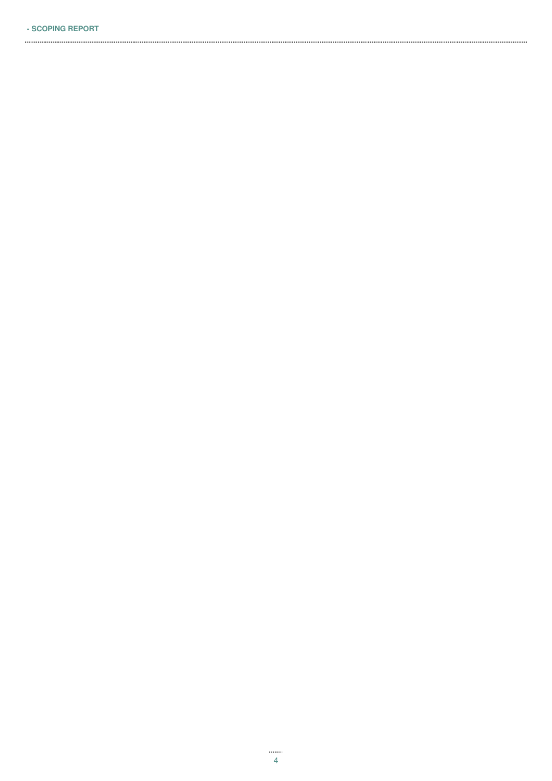**- SCOPING REPORT**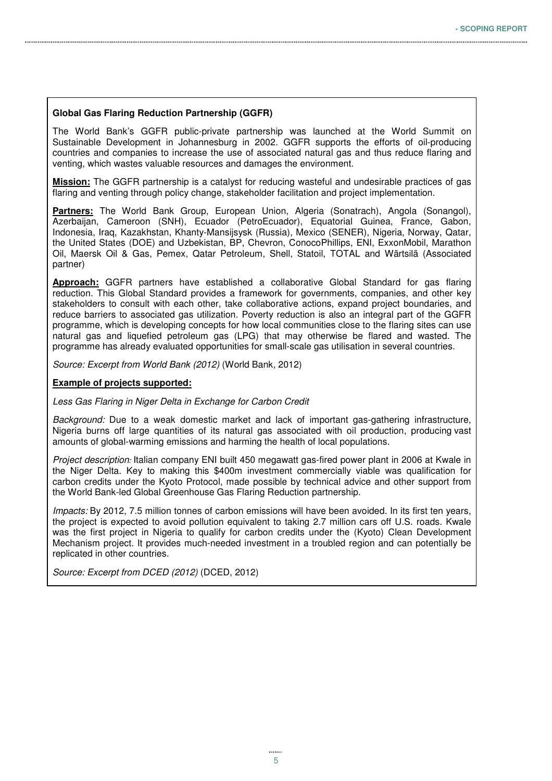### **Global Gas Flaring Reduction Partnership (GGFR)**

The World Bank's GGFR public-private partnership was launched at the World Summit on Sustainable Development in Johannesburg in 2002. GGFR supports the efforts of oil-producing countries and companies to increase the use of associated natural gas and thus reduce flaring and venting, which wastes valuable resources and damages the environment.

**Mission:** The GGFR partnership is a catalyst for reducing wasteful and undesirable practices of gas flaring and venting through policy change, stakeholder facilitation and project implementation.

**Partners:** The World Bank Group, European Union, Algeria (Sonatrach), Angola (Sonangol), Azerbaijan, Cameroon (SNH), Ecuador (PetroEcuador), Equatorial Guinea, France, Gabon, Indonesia, Iraq, Kazakhstan, Khanty-Mansijsysk (Russia), Mexico (SENER), Nigeria, Norway, Qatar, the United States (DOE) and Uzbekistan, BP, Chevron, ConocoPhillips, ENI, ExxonMobil, Marathon Oil, Maersk Oil & Gas, Pemex, Qatar Petroleum, Shell, Statoil, TOTAL and Wärtsilä (Associated partner)

**Approach:** GGFR partners have established a collaborative Global Standard for gas flaring reduction. This Global Standard provides a framework for governments, companies, and other key stakeholders to consult with each other, take collaborative actions, expand project boundaries, and reduce barriers to associated gas utilization. Poverty reduction is also an integral part of the GGFR programme, which is developing concepts for how local communities close to the flaring sites can use natural gas and liquefied petroleum gas (LPG) that may otherwise be flared and wasted. The programme has already evaluated opportunities for small-scale gas utilisation in several countries.

Source: Excerpt from World Bank (2012) (World Bank, 2012)

#### **Example of projects supported:**

Less Gas Flaring in Niger Delta in Exchange for Carbon Credit

Background: Due to a weak domestic market and lack of important gas-gathering infrastructure, Nigeria burns off large quantities of its natural gas associated with oil production, producing vast amounts of global-warming emissions and harming the health of local populations.

Project description: Italian company ENI built 450 megawatt gas-fired power plant in 2006 at Kwale in the Niger Delta. Key to making this \$400m investment commercially viable was qualification for carbon credits under the Kyoto Protocol, made possible by technical advice and other support from the World Bank-led Global Greenhouse Gas Flaring Reduction partnership.

Impacts: By 2012, 7.5 million tonnes of carbon emissions will have been avoided. In its first ten years, the project is expected to avoid pollution equivalent to taking 2.7 million cars off U.S. roads. Kwale was the first project in Nigeria to qualify for carbon credits under the (Kyoto) Clean Development Mechanism project. It provides much-needed investment in a troubled region and can potentially be replicated in other countries.

Source: Excerpt from DCED (2012) (DCED, 2012)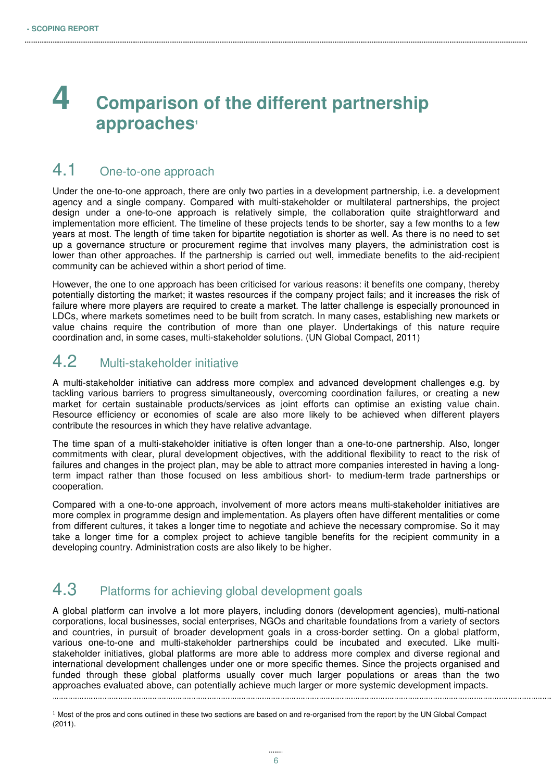## **4 Comparison of the different partnership approaches<sup>1</sup>**

### 4.1 One-to-one approach

Under the one-to-one approach, there are only two parties in a development partnership, i.e. a development agency and a single company. Compared with multi-stakeholder or multilateral partnerships, the project design under a one-to-one approach is relatively simple, the collaboration quite straightforward and implementation more efficient. The timeline of these projects tends to be shorter, say a few months to a few years at most. The length of time taken for bipartite negotiation is shorter as well. As there is no need to set up a governance structure or procurement regime that involves many players, the administration cost is lower than other approaches. If the partnership is carried out well, immediate benefits to the aid-recipient community can be achieved within a short period of time.

However, the one to one approach has been criticised for various reasons: it benefits one company, thereby potentially distorting the market; it wastes resources if the company project fails; and it increases the risk of failure where more players are required to create a market. The latter challenge is especially pronounced in LDCs, where markets sometimes need to be built from scratch. In many cases, establishing new markets or value chains require the contribution of more than one player. Undertakings of this nature require coordination and, in some cases, multi-stakeholder solutions. (UN Global Compact, 2011)

### 4.2 Multi-stakeholder initiative

A multi-stakeholder initiative can address more complex and advanced development challenges e.g. by tackling various barriers to progress simultaneously, overcoming coordination failures, or creating a new market for certain sustainable products/services as joint efforts can optimise an existing value chain. Resource efficiency or economies of scale are also more likely to be achieved when different players contribute the resources in which they have relative advantage.

The time span of a multi-stakeholder initiative is often longer than a one-to-one partnership. Also, longer commitments with clear, plural development objectives, with the additional flexibility to react to the risk of failures and changes in the project plan, may be able to attract more companies interested in having a longterm impact rather than those focused on less ambitious short- to medium-term trade partnerships or cooperation.

Compared with a one-to-one approach, involvement of more actors means multi-stakeholder initiatives are more complex in programme design and implementation. As players often have different mentalities or come from different cultures, it takes a longer time to negotiate and achieve the necessary compromise. So it may take a longer time for a complex project to achieve tangible benefits for the recipient community in a developing country. Administration costs are also likely to be higher.

### 4.3 Platforms for achieving global development goals

A global platform can involve a lot more players, including donors (development agencies), multi-national corporations, local businesses, social enterprises, NGOs and charitable foundations from a variety of sectors and countries, in pursuit of broader development goals in a cross-border setting. On a global platform, various one-to-one and multi-stakeholder partnerships could be incubated and executed. Like multistakeholder initiatives, global platforms are more able to address more complex and diverse regional and international development challenges under one or more specific themes. Since the projects organised and funded through these global platforms usually cover much larger populations or areas than the two approaches evaluated above, can potentially achieve much larger or more systemic development impacts. 

<sup>&</sup>lt;sup>1</sup> Most of the pros and cons outlined in these two sections are based on and re-organised from the report by the UN Global Compact (2011).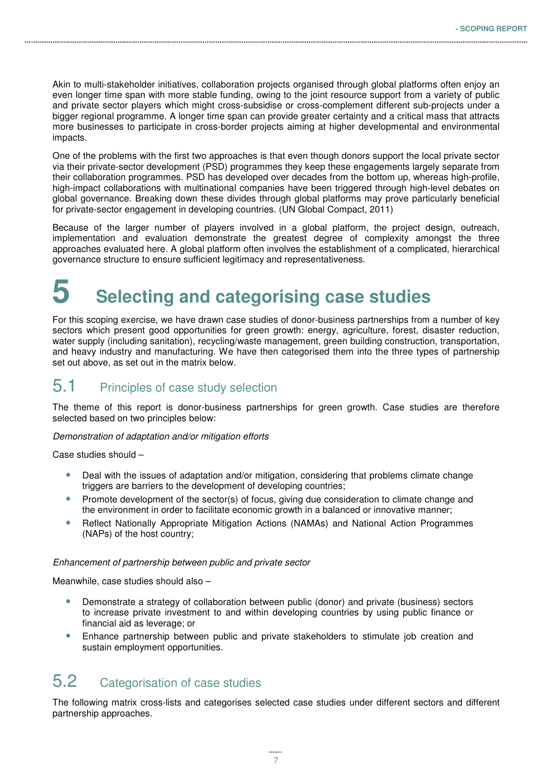Akin to multi-stakeholder initiatives, collaboration projects organised through global platforms often enjoy an even longer time span with more stable funding, owing to the joint resource support from a variety of public and private sector players which might cross-subsidise or cross-complement different sub-projects under a bigger regional programme. A longer time span can provide greater certainty and a critical mass that attracts more businesses to participate in cross-border projects aiming at higher developmental and environmental impacts.

One of the problems with the first two approaches is that even though donors support the local private sector via their private-sector development (PSD) programmes they keep these engagements largely separate from their collaboration programmes. PSD has developed over decades from the bottom up, whereas high-profile, high-impact collaborations with multinational companies have been triggered through high-level debates on global governance. Breaking down these divides through global platforms may prove particularly beneficial for private-sector engagement in developing countries. (UN Global Compact, 2011)

Because of the larger number of players involved in a global platform, the project design, outreach, implementation and evaluation demonstrate the greatest degree of complexity amongst the three approaches evaluated here. A global platform often involves the establishment of a complicated, hierarchical governance structure to ensure sufficient legitimacy and representativeness.

## **5 Selecting and categorising case studies**

For this scoping exercise, we have drawn case studies of donor-business partnerships from a number of key sectors which present good opportunities for green growth: energy, agriculture, forest, disaster reduction, water supply (including sanitation), recycling/waste management, green building construction, transportation, and heavy industry and manufacturing. We have then categorised them into the three types of partnership set out above, as set out in the matrix below.

### 5.1 Principles of case study selection

The theme of this report is donor-business partnerships for green growth. Case studies are therefore selected based on two principles below:

Demonstration of adaptation and/or mitigation efforts

### Case studies should –

- Deal with the issues of adaptation and/or mitigation, considering that problems climate change triggers are barriers to the development of developing countries;
- Promote development of the sector(s) of focus, giving due consideration to climate change and the environment in order to facilitate economic growth in a balanced or innovative manner;
- Reflect Nationally Appropriate Mitigation Actions (NAMAs) and National Action Programmes (NAPs) of the host country;

### Enhancement of partnership between public and private sector

Meanwhile, case studies should also –

- Demonstrate a strategy of collaboration between public (donor) and private (business) sectors to increase private investment to and within developing countries by using public finance or financial aid as leverage; or
- Enhance partnership between public and private stakeholders to stimulate job creation and sustain employment opportunities.

### 5.2 Categorisation of case studies

The following matrix cross-lists and categorises selected case studies under different sectors and different partnership approaches.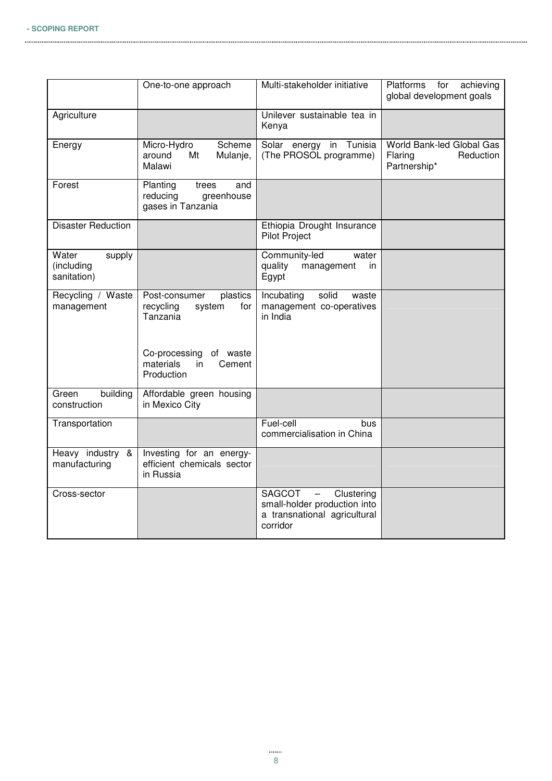|                                              | One-to-one approach                                                     | Multi-stakeholder initiative                                                                                                        | Platforms<br>for<br>achieving<br>global development goals         |
|----------------------------------------------|-------------------------------------------------------------------------|-------------------------------------------------------------------------------------------------------------------------------------|-------------------------------------------------------------------|
| Agriculture                                  |                                                                         | Unilever sustainable tea in<br>Kenya                                                                                                |                                                                   |
| Energy                                       | Scheme<br>Micro-Hydro<br>around<br>Mt<br>Mulanje,<br>Malawi             | Solar energy in Tunisia<br>(The PROSOL programme)                                                                                   | World Bank-led Global Gas<br>Flaring<br>Reduction<br>Partnership* |
| Forest                                       | Planting<br>and<br>trees<br>reducing<br>greenhouse<br>gases in Tanzania |                                                                                                                                     |                                                                   |
| <b>Disaster Reduction</b>                    |                                                                         | Ethiopia Drought Insurance<br><b>Pilot Project</b>                                                                                  |                                                                   |
| Water<br>supply<br>(including<br>sanitation) |                                                                         | Community-led<br>water<br>quality<br>management<br>in<br>Egypt                                                                      |                                                                   |
| Recycling / Waste<br>management              | plastics<br>Post-consumer<br>recycling<br>system<br>for<br>Tanzania     | Incubating<br>solid<br>waste<br>management co-operatives<br>in India                                                                |                                                                   |
|                                              | Co-processing of waste<br>materials<br>Cement<br>in<br>Production       |                                                                                                                                     |                                                                   |
| building<br>Green<br>construction            | Affordable green housing<br>in Mexico City                              |                                                                                                                                     |                                                                   |
| Transportation                               |                                                                         | Fuel-cell<br>bus<br>commercialisation in China                                                                                      |                                                                   |
| Heavy industry &<br>manufacturing            | Investing for an energy-<br>efficient chemicals sector<br>in Russia     |                                                                                                                                     |                                                                   |
| Cross-sector                                 |                                                                         | <b>SAGCOT</b><br>Clustering<br>$\overline{\phantom{m}}$<br>small-holder production into<br>a transnational agricultural<br>corridor |                                                                   |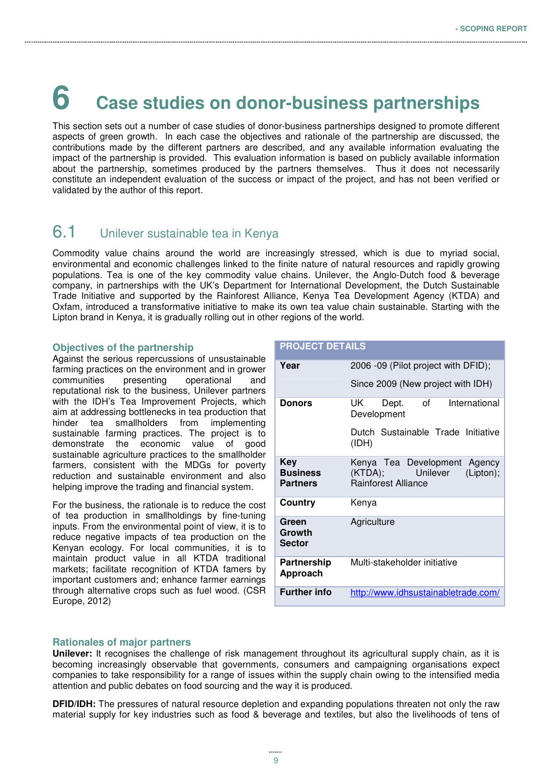# **6 Case studies on donor-business partnerships**

This section sets out a number of case studies of donor-business partnerships designed to promote different aspects of green growth. In each case the objectives and rationale of the partnership are discussed, the contributions made by the different partners are described, and any available information evaluating the impact of the partnership is provided. This evaluation information is based on publicly available information about the partnership, sometimes produced by the partners themselves. Thus it does not necessarily constitute an independent evaluation of the success or impact of the project, and has not been verified or validated by the author of this report.

### 6.1 Unilever sustainable tea in Kenya

Commodity value chains around the world are increasingly stressed, which is due to myriad social, environmental and economic challenges linked to the finite nature of natural resources and rapidly growing populations. Tea is one of the key commodity value chains. Unilever, the Anglo-Dutch food & beverage company, in partnerships with the UK's Department for International Development, the Dutch Sustainable Trade Initiative and supported by the Rainforest Alliance, Kenya Tea Development Agency (KTDA) and Oxfam, introduced a transformative initiative to make its own tea value chain sustainable. Starting with the Lipton brand in Kenya, it is gradually rolling out in other regions of the world.

### **Objectives of the partnership**

Against the serious repercussions of unsustainable farming practices on the environment and in grower communities presenting operational and reputational risk to the business, Unilever partners with the IDH's Tea Improvement Projects, which aim at addressing bottlenecks in tea production that hinder tea smallholders from implementing sustainable farming practices. The project is to demonstrate the economic value of good sustainable agriculture practices to the smallholder farmers, consistent with the MDGs for poverty reduction and sustainable environment and also helping improve the trading and financial system.

For the business, the rationale is to reduce the cost of tea production in smallholdings by fine-tuning inputs. From the environmental point of view, it is to reduce negative impacts of tea production on the Kenyan ecology. For local communities, it is to maintain product value in all KTDA traditional markets; facilitate recognition of KTDA famers by important customers and; enhance farmer earnings through alternative crops such as fuel wood. (CSR Europe, 2012)

### **PROJECT DETAILS**

| Year                                      | 2006 -09 (Pilot project with DFID);                                                         |  |
|-------------------------------------------|---------------------------------------------------------------------------------------------|--|
|                                           | Since 2009 (New project with IDH)                                                           |  |
| Donors                                    | of<br>International<br>UK.<br>Dept.<br>Development                                          |  |
|                                           | Dutch Sustainable Trade Initiative<br>(IDH)                                                 |  |
| Kev<br><b>Business</b><br><b>Partners</b> | Kenya Tea Development Agency<br>(KTDA); Unilever<br>(Lipton);<br><b>Rainforest Alliance</b> |  |
| Country                                   | Kenya                                                                                       |  |
| Green<br>Growth<br><b>Sector</b>          | Agriculture                                                                                 |  |
| Partnership<br>Approach                   | Multi-stakeholder initiative                                                                |  |
| <b>Further info</b>                       | http://www.idhsustainabletrade.com/                                                         |  |

### **Rationales of major partners**

**Unilever:** It recognises the challenge of risk management throughout its agricultural supply chain, as it is becoming increasingly observable that governments, consumers and campaigning organisations expect companies to take responsibility for a range of issues within the supply chain owing to the intensified media attention and public debates on food sourcing and the way it is produced.

**DFID/IDH:** The pressures of natural resource depletion and expanding populations threaten not only the raw material supply for key industries such as food & beverage and textiles, but also the livelihoods of tens of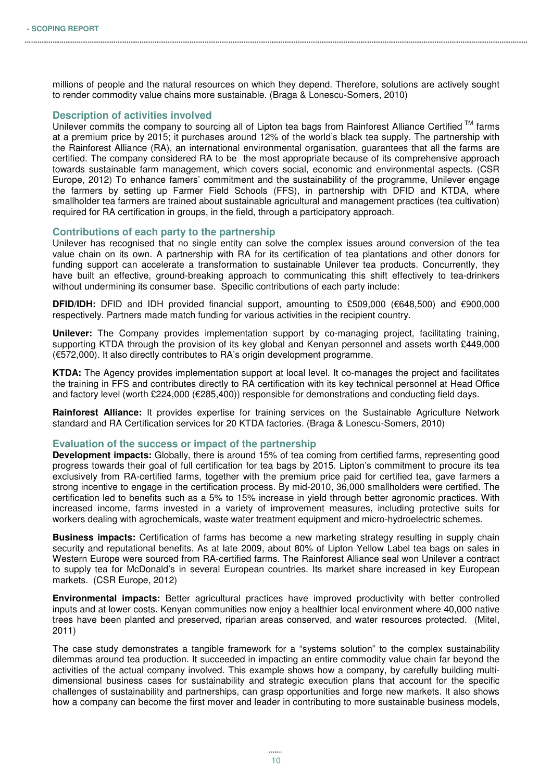millions of people and the natural resources on which they depend. Therefore, solutions are actively sought to render commodity value chains more sustainable. (Braga & Lonescu-Somers, 2010)

#### **Description of activities involved**

Unilever commits the company to sourcing all of Lipton tea bags from Rainforest Alliance Certified ™ farms at a premium price by 2015; it purchases around 12% of the world's black tea supply. The partnership with the Rainforest Alliance (RA), an international environmental organisation, guarantees that all the farms are certified. The company considered RA to be the most appropriate because of its comprehensive approach towards sustainable farm management, which covers social, economic and environmental aspects. (CSR Europe, 2012) To enhance famers' commitment and the sustainability of the programme, Unilever engage the farmers by setting up Farmer Field Schools (FFS), in partnership with DFID and KTDA, where smallholder tea farmers are trained about sustainable agricultural and management practices (tea cultivation) required for RA certification in groups, in the field, through a participatory approach.

#### **Contributions of each party to the partnership**

Unilever has recognised that no single entity can solve the complex issues around conversion of the tea value chain on its own. A partnership with RA for its certification of tea plantations and other donors for funding support can accelerate a transformation to sustainable Unilever tea products. Concurrently, they have built an effective, ground-breaking approach to communicating this shift effectively to tea-drinkers without undermining its consumer base. Specific contributions of each party include:

**DFID/IDH:** DFID and IDH provided financial support, amounting to £509,000 (€648,500) and €900,000 respectively. Partners made match funding for various activities in the recipient country.

**Unilever:** The Company provides implementation support by co-managing project, facilitating training, supporting KTDA through the provision of its key global and Kenyan personnel and assets worth £449,000 (€572,000). It also directly contributes to RA's origin development programme.

**KTDA:** The Agency provides implementation support at local level. It co-manages the project and facilitates the training in FFS and contributes directly to RA certification with its key technical personnel at Head Office and factory level (worth £224,000 (€285,400)) responsible for demonstrations and conducting field days.

**Rainforest Alliance:** It provides expertise for training services on the Sustainable Agriculture Network standard and RA Certification services for 20 KTDA factories. (Braga & Lonescu-Somers, 2010)

### **Evaluation of the success or impact of the partnership**

**Development impacts:** Globally, there is around 15% of tea coming from certified farms, representing good progress towards their goal of full certification for tea bags by 2015. Lipton's commitment to procure its tea exclusively from RA-certified farms, together with the premium price paid for certified tea, gave farmers a strong incentive to engage in the certification process. By mid-2010, 36,000 smallholders were certified. The certification led to benefits such as a 5% to 15% increase in yield through better agronomic practices. With increased income, farms invested in a variety of improvement measures, including protective suits for workers dealing with agrochemicals, waste water treatment equipment and micro-hydroelectric schemes.

**Business impacts:** Certification of farms has become a new marketing strategy resulting in supply chain security and reputational benefits. As at late 2009, about 80% of Lipton Yellow Label tea bags on sales in Western Europe were sourced from RA-certified farms. The Rainforest Alliance seal won Unilever a contract to supply tea for McDonald's in several European countries. Its market share increased in key European markets. (CSR Europe, 2012)

**Environmental impacts:** Better agricultural practices have improved productivity with better controlled inputs and at lower costs. Kenyan communities now enjoy a healthier local environment where 40,000 native trees have been planted and preserved, riparian areas conserved, and water resources protected. (Mitel, 2011)

The case study demonstrates a tangible framework for a "systems solution" to the complex sustainability dilemmas around tea production. It succeeded in impacting an entire commodity value chain far beyond the activities of the actual company involved. This example shows how a company, by carefully building multidimensional business cases for sustainability and strategic execution plans that account for the specific challenges of sustainability and partnerships, can grasp opportunities and forge new markets. It also shows how a company can become the first mover and leader in contributing to more sustainable business models,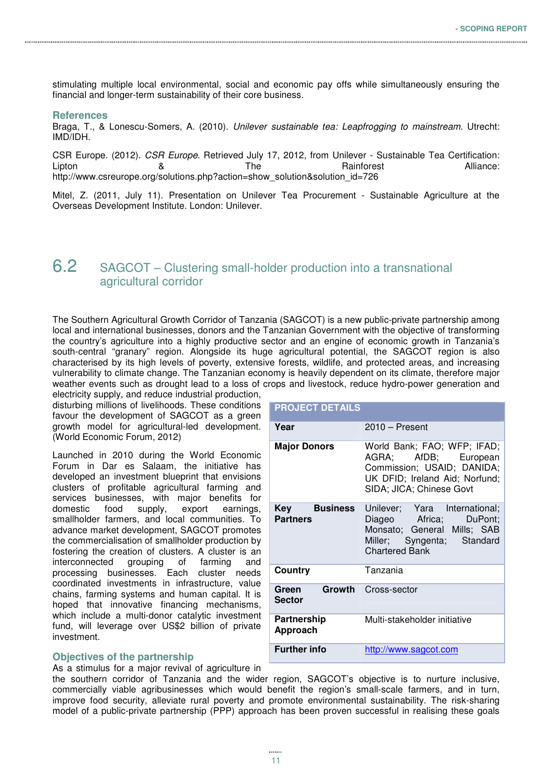stimulating multiple local environmental, social and economic pay offs while simultaneously ensuring the financial and longer-term sustainability of their core business.

#### **References**

Braga, T., & Lonescu-Somers, A. (2010). Unilever sustainable tea: Leapfrogging to mainstream. Utrecht: IMD/IDH.

CSR Europe. (2012). CSR Europe. Retrieved July 17, 2012, from Unilever - Sustainable Tea Certification: Lipton & The Rainforest Alliance: http://www.csreurope.org/solutions.php?action=show\_solution&solution\_id=726

Mitel, Z. (2011, July 11). Presentation on Unilever Tea Procurement - Sustainable Agriculture at the Overseas Development Institute. London: Unilever.

### 6.2 SAGCOT – Clustering small-holder production into a transnational agricultural corridor

The Southern Agricultural Growth Corridor of Tanzania (SAGCOT) is a new public-private partnership among local and international businesses, donors and the Tanzanian Government with the objective of transforming the country's agriculture into a highly productive sector and an engine of economic growth in Tanzania's south-central "granary" region. Alongside its huge agricultural potential, the SAGCOT region is also characterised by its high levels of poverty, extensive forests, wildlife, and protected areas, and increasing vulnerability to climate change. The Tanzanian economy is heavily dependent on its climate, therefore major weather events such as drought lead to a loss of crops and livestock, reduce hydro-power generation and

**PROJECT DETAILS**

electricity supply, and reduce industrial production, disturbing millions of livelihoods. These conditions favour the development of SAGCOT as a green growth model for agricultural-led development. (World Economic Forum, 2012)

Launched in 2010 during the World Economic Forum in Dar es Salaam, the initiative has developed an investment blueprint that envisions clusters of profitable agricultural farming and services businesses, with major benefits for domestic food supply, export earnings, smallholder farmers, and local communities. To advance market development, SAGCOT promotes the commercialisation of smallholder production by fostering the creation of clusters. A cluster is an interconnected grouping of farming and processing businesses. Each cluster needs coordinated investments in infrastructure, value chains, farming systems and human capital. It is hoped that innovative financing mechanisms, which include a multi-donor catalytic investment fund, will leverage over US\$2 billion of private investment.

### **Objectives of the partnership**

**Year** 2010 – Present **Major Donors** World Bank; FAO; WFP; IFAD; AGRA; AfDB; European Commission; USAID; DANIDA; UK DFID; Ireland Aid; Norfund; SIDA; JICA; Chinese Govt **Key Business Partners**  Unilever; Yara International; Diageo Africa; DuPont; Monsato; General Mills; SAB Miller; Syngenta; Standard Chartered Bank **Country Tanzania Green Growth Sector**  Cross-sector **Partnership Approach**  Multi-stakeholder initiative **Further info** http://www.sagcot.com

As a stimulus for a major revival of agriculture in

the southern corridor of Tanzania and the wider region, SAGCOT's objective is to nurture inclusive, commercially viable agribusinesses which would benefit the region's small-scale farmers, and in turn, improve food security, alleviate rural poverty and promote environmental sustainability. The risk-sharing model of a public-private partnership (PPP) approach has been proven successful in realising these goals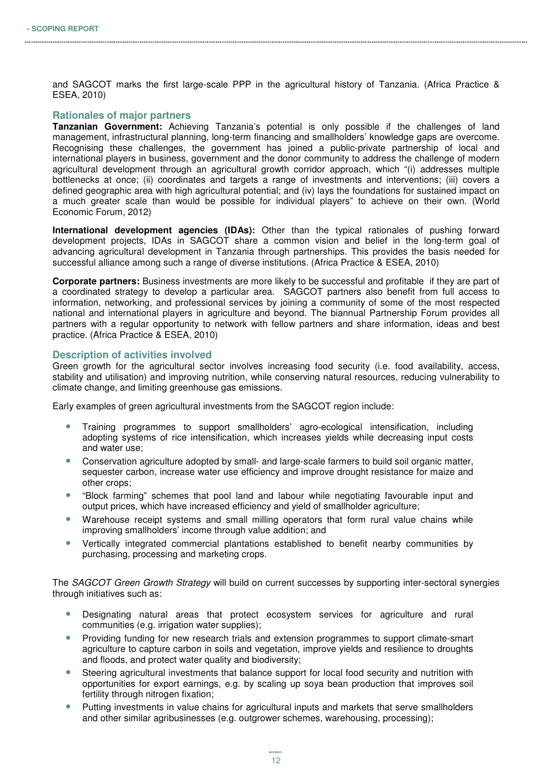and SAGCOT marks the first large-scale PPP in the agricultural history of Tanzania. (Africa Practice & ESEA, 2010)

#### **Rationales of major partners**

**Tanzanian Government:** Achieving Tanzania's potential is only possible if the challenges of land management, infrastructural planning, long-term financing and smallholders' knowledge gaps are overcome. Recognising these challenges, the government has joined a public-private partnership of local and international players in business, government and the donor community to address the challenge of modern agricultural development through an agricultural growth corridor approach, which "(i) addresses multiple bottlenecks at once; (ii) coordinates and targets a range of investments and interventions; (iii) covers a defined geographic area with high agricultural potential; and (iv) lays the foundations for sustained impact on a much greater scale than would be possible for individual players" to achieve on their own. (World Economic Forum, 2012)

**International development agencies (IDAs):** Other than the typical rationales of pushing forward development projects, IDAs in SAGCOT share a common vision and belief in the long-term goal of advancing agricultural development in Tanzania through partnerships. This provides the basis needed for successful alliance among such a range of diverse institutions. (Africa Practice & ESEA, 2010)

**Corporate partners:** Business investments are more likely to be successful and profitable if they are part of a coordinated strategy to develop a particular area. SAGCOT partners also benefit from full access to information, networking, and professional services by joining a community of some of the most respected national and international players in agriculture and beyond. The biannual Partnership Forum provides all partners with a regular opportunity to network with fellow partners and share information, ideas and best practice. (Africa Practice & ESEA, 2010)

### **Description of activities involved**

Green growth for the agricultural sector involves increasing food security (i.e. food availability, access, stability and utilisation) and improving nutrition, while conserving natural resources, reducing vulnerability to climate change, and limiting greenhouse gas emissions.

Early examples of green agricultural investments from the SAGCOT region include:

- Training programmes to support smallholders' agro-ecological intensification, including adopting systems of rice intensification, which increases yields while decreasing input costs and water use;
- Conservation agriculture adopted by small- and large-scale farmers to build soil organic matter, sequester carbon, increase water use efficiency and improve drought resistance for maize and other crops;
- "Block farming" schemes that pool land and labour while negotiating favourable input and output prices, which have increased efficiency and yield of smallholder agriculture;
- Warehouse receipt systems and small milling operators that form rural value chains while improving smallholders' income through value addition; and
- Vertically integrated commercial plantations established to benefit nearby communities by purchasing, processing and marketing crops.

The SAGCOT Green Growth Strategy will build on current successes by supporting inter-sectoral synergies through initiatives such as:

- Designating natural areas that protect ecosystem services for agriculture and rural communities (e.g. irrigation water supplies);
- Providing funding for new research trials and extension programmes to support climate-smart agriculture to capture carbon in soils and vegetation, improve yields and resilience to droughts and floods, and protect water quality and biodiversity;
- Steering agricultural investments that balance support for local food security and nutrition with opportunities for export earnings, e.g. by scaling up soya bean production that improves soil fertility through nitrogen fixation;
- Putting investments in value chains for agricultural inputs and markets that serve smallholders and other similar agribusinesses (e.g. outgrower schemes, warehousing, processing);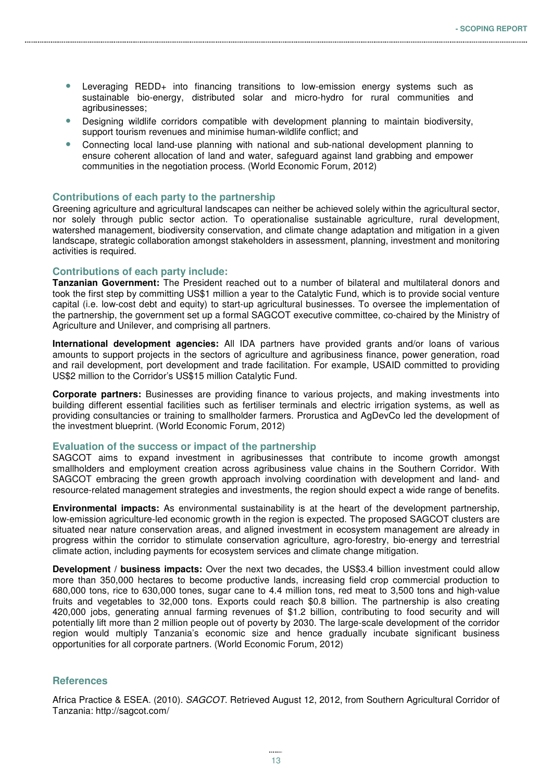- Leveraging REDD+ into financing transitions to low-emission energy systems such as sustainable bio-energy, distributed solar and micro-hydro for rural communities and agribusinesses;
- Designing wildlife corridors compatible with development planning to maintain biodiversity, support tourism revenues and minimise human-wildlife conflict; and
- Connecting local land-use planning with national and sub-national development planning to ensure coherent allocation of land and water, safeguard against land grabbing and empower communities in the negotiation process. (World Economic Forum, 2012)

### **Contributions of each party to the partnership**

Greening agriculture and agricultural landscapes can neither be achieved solely within the agricultural sector, nor solely through public sector action. To operationalise sustainable agriculture, rural development, watershed management, biodiversity conservation, and climate change adaptation and mitigation in a given landscape, strategic collaboration amongst stakeholders in assessment, planning, investment and monitoring activities is required.

### **Contributions of each party include:**

**Tanzanian Government:** The President reached out to a number of bilateral and multilateral donors and took the first step by committing US\$1 million a year to the Catalytic Fund, which is to provide social venture capital (i.e. low-cost debt and equity) to start-up agricultural businesses. To oversee the implementation of the partnership, the government set up a formal SAGCOT executive committee, co-chaired by the Ministry of Agriculture and Unilever, and comprising all partners.

**International development agencies:** All IDA partners have provided grants and/or loans of various amounts to support projects in the sectors of agriculture and agribusiness finance, power generation, road and rail development, port development and trade facilitation. For example, USAID committed to providing US\$2 million to the Corridor's US\$15 million Catalytic Fund.

**Corporate partners:** Businesses are providing finance to various projects, and making investments into building different essential facilities such as fertiliser terminals and electric irrigation systems, as well as providing consultancies or training to smallholder farmers. Prorustica and AgDevCo led the development of the investment blueprint. (World Economic Forum, 2012)

### **Evaluation of the success or impact of the partnership**

SAGCOT aims to expand investment in agribusinesses that contribute to income growth amongst smallholders and employment creation across agribusiness value chains in the Southern Corridor. With SAGCOT embracing the green growth approach involving coordination with development and land- and resource-related management strategies and investments, the region should expect a wide range of benefits.

**Environmental impacts:** As environmental sustainability is at the heart of the development partnership, low-emission agriculture-led economic growth in the region is expected. The proposed SAGCOT clusters are situated near nature conservation areas, and aligned investment in ecosystem management are already in progress within the corridor to stimulate conservation agriculture, agro-forestry, bio-energy and terrestrial climate action, including payments for ecosystem services and climate change mitigation.

**Development / business impacts:** Over the next two decades, the US\$3.4 billion investment could allow more than 350,000 hectares to become productive lands, increasing field crop commercial production to 680,000 tons, rice to 630,000 tones, sugar cane to 4.4 million tons, red meat to 3,500 tons and high-value fruits and vegetables to 32,000 tons. Exports could reach \$0.8 billion. The partnership is also creating 420,000 jobs, generating annual farming revenues of \$1.2 billion, contributing to food security and will potentially lift more than 2 million people out of poverty by 2030. The large-scale development of the corridor region would multiply Tanzania's economic size and hence gradually incubate significant business opportunities for all corporate partners. (World Economic Forum, 2012)

### **References**

Africa Practice & ESEA. (2010). SAGCOT. Retrieved August 12, 2012, from Southern Agricultural Corridor of Tanzania: http://sagcot.com/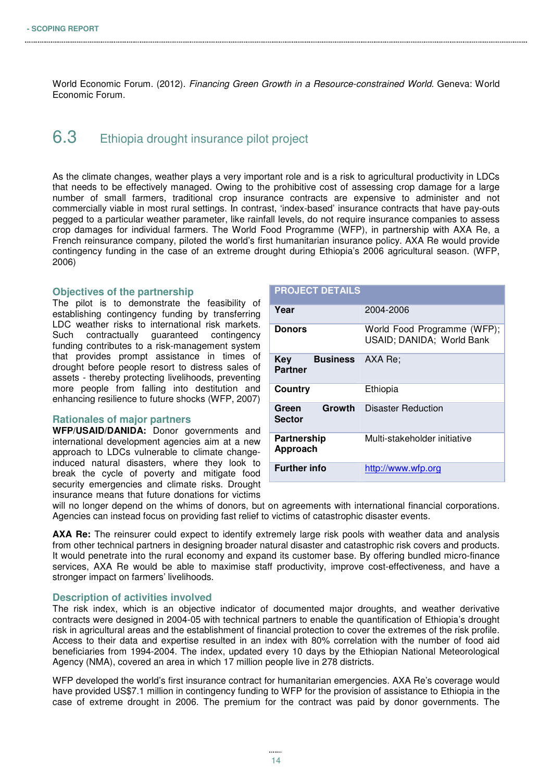World Economic Forum. (2012). Financing Green Growth in a Resource-constrained World. Geneva: World Economic Forum.

### 6.3 Ethiopia drought insurance pilot project

As the climate changes, weather plays a very important role and is a risk to agricultural productivity in LDCs that needs to be effectively managed. Owing to the prohibitive cost of assessing crop damage for a large number of small farmers, traditional crop insurance contracts are expensive to administer and not commercially viable in most rural settings. In contrast, 'index-based' insurance contracts that have pay-outs pegged to a particular weather parameter, like rainfall levels, do not require insurance companies to assess crop damages for individual farmers. The World Food Programme (WFP), in partnership with AXA Re, a French reinsurance company, piloted the world's first humanitarian insurance policy. AXA Re would provide contingency funding in the case of an extreme drought during Ethiopia's 2006 agricultural season. (WFP, 2006)

### **Objectives of the partnership**

The pilot is to demonstrate the feasibility of establishing contingency funding by transferring LDC weather risks to international risk markets. Such contractually guaranteed contingency funding contributes to a risk-management system that provides prompt assistance in times of drought before people resort to distress sales of assets - thereby protecting livelihoods, preventing more people from falling into destitution and enhancing resilience to future shocks (WFP, 2007)

### **Rationales of major partners**

**WFP/USAID/DANIDA:** Donor governments and international development agencies aim at a new approach to LDCs vulnerable to climate changeinduced natural disasters, where they look to break the cycle of poverty and mitigate food security emergencies and climate risks. Drought insurance means that future donations for victims

| <b>PROJECT DETAILS</b>                   |                                                          |  |
|------------------------------------------|----------------------------------------------------------|--|
| Year                                     | 2004-2006                                                |  |
| Donors                                   | World Food Programme (WFP);<br>USAID; DANIDA; World Bank |  |
| Key<br><b>Business</b><br><b>Partner</b> | AXA Re:                                                  |  |
| Country                                  | Ethiopia                                                 |  |
| Growth<br>Green<br><b>Sector</b>         | Disaster Reduction                                       |  |
| <b>Partnership</b><br>Approach           | Multi-stakeholder initiative                             |  |
| <b>Further info</b>                      | http://www.wfp.org                                       |  |

will no longer depend on the whims of donors, but on agreements with international financial corporations. Agencies can instead focus on providing fast relief to victims of catastrophic disaster events.

**AXA Re:** The reinsurer could expect to identify extremely large risk pools with weather data and analysis from other technical partners in designing broader natural disaster and catastrophic risk covers and products. It would penetrate into the rural economy and expand its customer base. By offering bundled micro-finance services, AXA Re would be able to maximise staff productivity, improve cost-effectiveness, and have a stronger impact on farmers' livelihoods.

### **Description of activities involved**

The risk index, which is an objective indicator of documented major droughts, and weather derivative contracts were designed in 2004-05 with technical partners to enable the quantification of Ethiopia's drought risk in agricultural areas and the establishment of financial protection to cover the extremes of the risk profile. Access to their data and expertise resulted in an index with 80% correlation with the number of food aid beneficiaries from 1994-2004. The index, updated every 10 days by the Ethiopian National Meteorological Agency (NMA), covered an area in which 17 million people live in 278 districts.

WFP developed the world's first insurance contract for humanitarian emergencies. AXA Re's coverage would have provided US\$7.1 million in contingency funding to WFP for the provision of assistance to Ethiopia in the case of extreme drought in 2006. The premium for the contract was paid by donor governments. The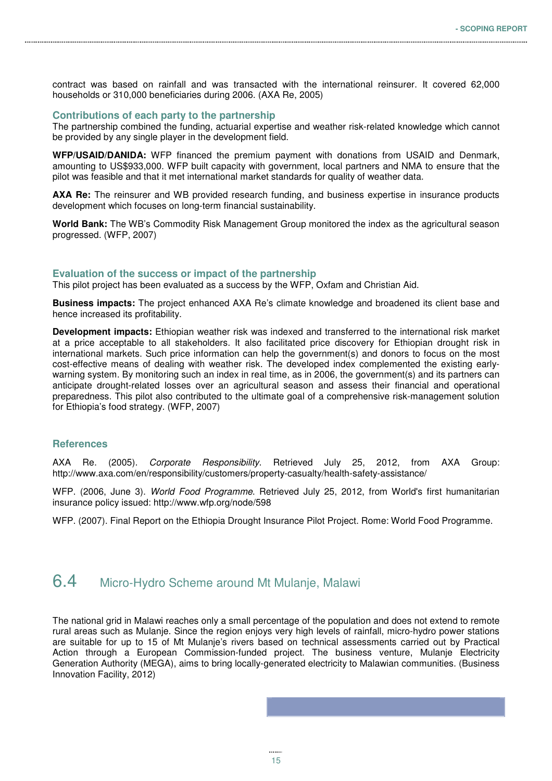contract was based on rainfall and was transacted with the international reinsurer. It covered 62,000 households or 310,000 beneficiaries during 2006. (AXA Re, 2005)

#### **Contributions of each party to the partnership**

The partnership combined the funding, actuarial expertise and weather risk-related knowledge which cannot be provided by any single player in the development field.

**WFP/USAID/DANIDA:** WFP financed the premium payment with donations from USAID and Denmark, amounting to US\$933,000. WFP built capacity with government, local partners and NMA to ensure that the pilot was feasible and that it met international market standards for quality of weather data.

**AXA Re:** The reinsurer and WB provided research funding, and business expertise in insurance products development which focuses on long-term financial sustainability.

**World Bank:** The WB's Commodity Risk Management Group monitored the index as the agricultural season progressed. (WFP, 2007)

### **Evaluation of the success or impact of the partnership**

This pilot project has been evaluated as a success by the WFP, Oxfam and Christian Aid.

**Business impacts:** The project enhanced AXA Re's climate knowledge and broadened its client base and hence increased its profitability.

**Development impacts:** Ethiopian weather risk was indexed and transferred to the international risk market at a price acceptable to all stakeholders. It also facilitated price discovery for Ethiopian drought risk in international markets. Such price information can help the government(s) and donors to focus on the most cost-effective means of dealing with weather risk. The developed index complemented the existing earlywarning system. By monitoring such an index in real time, as in 2006, the government(s) and its partners can anticipate drought-related losses over an agricultural season and assess their financial and operational preparedness. This pilot also contributed to the ultimate goal of a comprehensive risk-management solution for Ethiopia's food strategy. (WFP, 2007)

### **References**

AXA Re. (2005). Corporate Responsibility. Retrieved July 25, 2012, from AXA Group: http://www.axa.com/en/responsibility/customers/property-casualty/health-safety-assistance/

WFP. (2006, June 3). World Food Programme. Retrieved July 25, 2012, from World's first humanitarian insurance policy issued: http://www.wfp.org/node/598

WFP. (2007). Final Report on the Ethiopia Drought Insurance Pilot Project. Rome: World Food Programme.

### 6.4 Micro-Hydro Scheme around Mt Mulanje, Malawi

The national grid in Malawi reaches only a small percentage of the population and does not extend to remote rural areas such as Mulanje. Since the region enjoys very high levels of rainfall, micro-hydro power stations are suitable for up to 15 of Mt Mulanje's rivers based on technical assessments carried out by Practical Action through a European Commission-funded project. The business venture, Mulanje Electricity Generation Authority (MEGA), aims to bring locally-generated electricity to Malawian communities. (Business Innovation Facility, 2012)

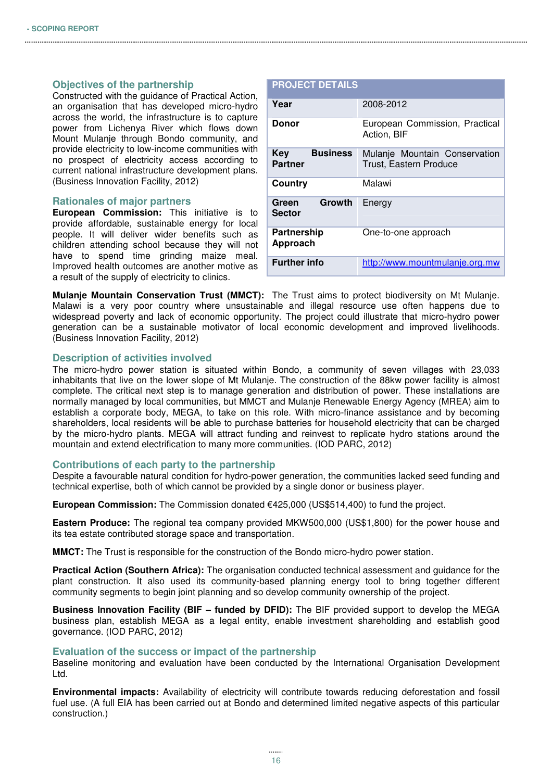### **Objectives of the partnership**

Constructed with the guidance of Practical Action, an organisation that has developed micro-hydro across the world, the infrastructure is to capture power from Lichenya River which flows down Mount Mulanje through Bondo community, and provide electricity to low-income communities with no prospect of electricity access according to current national infrastructure development plans. (Business Innovation Facility, 2012)

#### **Rationales of major partners**

**European Commission:** This initiative is to provide affordable, sustainable energy for local people. It will deliver wider benefits such as children attending school because they will not have to spend time grinding maize meal. Improved health outcomes are another motive as a result of the supply of electricity to clinics.

### **PROJECT DETAILS**

| 2008-2012                                               |
|---------------------------------------------------------|
| European Commission, Practical<br>Action, BIF           |
| Mulanje Mountain Conservation<br>Trust, Eastern Produce |
| Malawi                                                  |
| Energy                                                  |
| One-to-one approach                                     |
| http://www.mountmulanje.org.mw                          |
|                                                         |

**Mulanje Mountain Conservation Trust (MMCT):** The Trust aims to protect biodiversity on Mt Mulanje. Malawi is a very poor country where unsustainable and illegal resource use often happens due to widespread poverty and lack of economic opportunity. The project could illustrate that micro-hydro power generation can be a sustainable motivator of local economic development and improved livelihoods. (Business Innovation Facility, 2012)

### **Description of activities involved**

The micro-hydro power station is situated within Bondo, a community of seven villages with 23,033 inhabitants that live on the lower slope of Mt Mulanje. The construction of the 88kw power facility is almost complete. The critical next step is to manage generation and distribution of power. These installations are normally managed by local communities, but MMCT and Mulanje Renewable Energy Agency (MREA) aim to establish a corporate body, MEGA, to take on this role. With micro-finance assistance and by becoming shareholders, local residents will be able to purchase batteries for household electricity that can be charged by the micro-hydro plants. MEGA will attract funding and reinvest to replicate hydro stations around the mountain and extend electrification to many more communities. (IOD PARC, 2012)

### **Contributions of each party to the partnership**

Despite a favourable natural condition for hydro-power generation, the communities lacked seed funding and technical expertise, both of which cannot be provided by a single donor or business player.

**European Commission:** The Commission donated €425,000 (US\$514,400) to fund the project.

**Eastern Produce:** The regional tea company provided MKW500,000 (US\$1,800) for the power house and its tea estate contributed storage space and transportation.

**MMCT:** The Trust is responsible for the construction of the Bondo micro-hydro power station.

**Practical Action (Southern Africa):** The organisation conducted technical assessment and guidance for the plant construction. It also used its community-based planning energy tool to bring together different community segments to begin joint planning and so develop community ownership of the project.

**Business Innovation Facility (BIF – funded by DFID):** The BIF provided support to develop the MEGA business plan, establish MEGA as a legal entity, enable investment shareholding and establish good governance. (IOD PARC, 2012)

#### **Evaluation of the success or impact of the partnership**

Baseline monitoring and evaluation have been conducted by the International Organisation Development Ltd.

**Environmental impacts:** Availability of electricity will contribute towards reducing deforestation and fossil fuel use. (A full EIA has been carried out at Bondo and determined limited negative aspects of this particular construction.)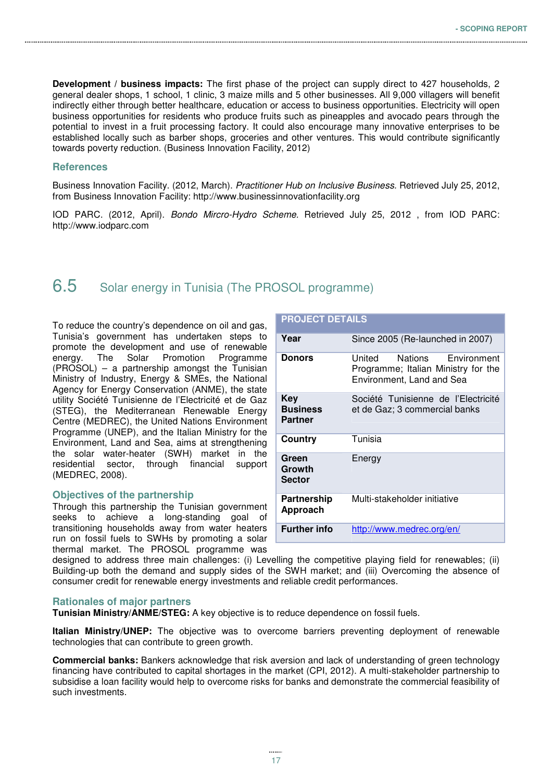**Development / business impacts:** The first phase of the project can supply direct to 427 households, 2 general dealer shops, 1 school, 1 clinic, 3 maize mills and 5 other businesses. All 9,000 villagers will benefit indirectly either through better healthcare, education or access to business opportunities. Electricity will open business opportunities for residents who produce fruits such as pineapples and avocado pears through the potential to invest in a fruit processing factory. It could also encourage many innovative enterprises to be established locally such as barber shops, groceries and other ventures. This would contribute significantly towards poverty reduction. (Business Innovation Facility, 2012)

### **References**

Business Innovation Facility. (2012, March). Practitioner Hub on Inclusive Business. Retrieved July 25, 2012, from Business Innovation Facility: http://www.businessinnovationfacility.org

IOD PARC. (2012, April). Bondo Mircro-Hydro Scheme. Retrieved July 25, 2012 , from IOD PARC: http://www.iodparc.com

### 6.5 Solar energy in Tunisia (The PROSOL programme)

To reduce the country's dependence on oil and gas, Tunisia's government has undertaken steps to promote the development and use of renewable energy. The Solar Promotion Programme (PROSOL) – a partnership amongst the Tunisian Ministry of Industry, Energy & SMEs, the National Agency for Energy Conservation (ANME), the state utility Société Tunisienne de l'Electricité et de Gaz (STEG), the Mediterranean Renewable Energy Centre (MEDREC), the United Nations Environment Programme (UNEP), and the Italian Ministry for the Environment, Land and Sea, aims at strengthening the solar water-heater (SWH) market in the residential sector, through financial support (MEDREC, 2008).

### **Objectives of the partnership**

Through this partnership the Tunisian government seeks to achieve a long-standing goal of transitioning households away from water heaters run on fossil fuels to SWHs by promoting a solar thermal market. The PROSOL programme was

| <b>PROJECT DETAILS</b>                   |                                                                                                   |  |
|------------------------------------------|---------------------------------------------------------------------------------------------------|--|
| Year                                     | Since 2005 (Re-launched in 2007)                                                                  |  |
| <b>Donors</b>                            | Nations Environment<br>United<br>Programme; Italian Ministry for the<br>Environment, Land and Sea |  |
| Key<br><b>Business</b><br><b>Partner</b> | Société Tunisienne de l'Electricité<br>et de Gaz; 3 commercial banks                              |  |
| Country                                  | Tunisia                                                                                           |  |
| Green<br>Growth<br><b>Sector</b>         | Energy                                                                                            |  |
| <b>Partnership</b><br>Approach           | Multi-stakeholder initiative                                                                      |  |
| <b>Further info</b>                      | http://www.medrec.org/en/                                                                         |  |

designed to address three main challenges: (i) Levelling the competitive playing field for renewables; (ii) Building-up both the demand and supply sides of the SWH market; and (iii) Overcoming the absence of consumer credit for renewable energy investments and reliable credit performances.

#### **Rationales of major partners**

**Tunisian Ministry/ANME/STEG:** A key objective is to reduce dependence on fossil fuels.

**Italian Ministry/UNEP:** The objective was to overcome barriers preventing deployment of renewable technologies that can contribute to green growth.

**Commercial banks:** Bankers acknowledge that risk aversion and lack of understanding of green technology financing have contributed to capital shortages in the market (CPI, 2012). A multi-stakeholder partnership to subsidise a loan facility would help to overcome risks for banks and demonstrate the commercial feasibility of such investments.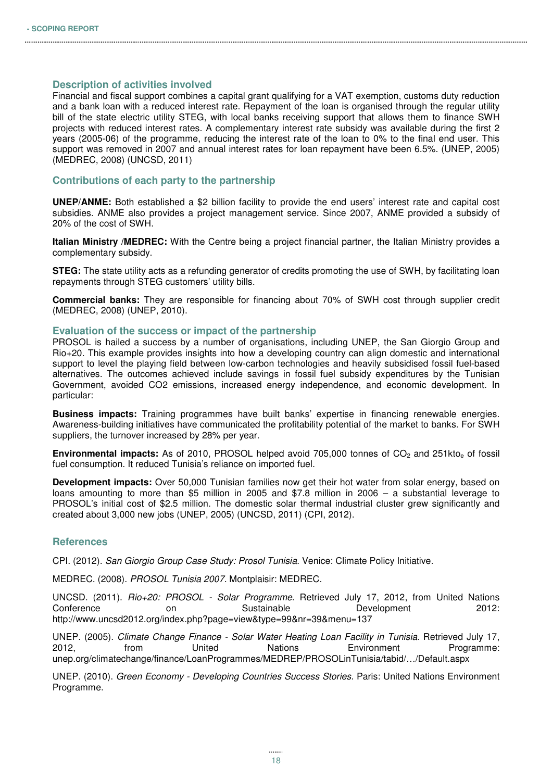### **Description of activities involved**

Financial and fiscal support combines a capital grant qualifying for a VAT exemption, customs duty reduction and a bank loan with a reduced interest rate. Repayment of the loan is organised through the regular utility bill of the state electric utility STEG, with local banks receiving support that allows them to finance SWH projects with reduced interest rates. A complementary interest rate subsidy was available during the first 2 years (2005-06) of the programme, reducing the interest rate of the loan to 0% to the final end user. This support was removed in 2007 and annual interest rates for loan repayment have been 6.5%. (UNEP, 2005) (MEDREC, 2008) (UNCSD, 2011)

### **Contributions of each party to the partnership**

**UNEP/ANME:** Both established a \$2 billion facility to provide the end users' interest rate and capital cost subsidies. ANME also provides a project management service. Since 2007, ANME provided a subsidy of 20% of the cost of SWH.

**Italian Ministry /MEDREC:** With the Centre being a project financial partner, the Italian Ministry provides a complementary subsidy.

**STEG:** The state utility acts as a refunding generator of credits promoting the use of SWH, by facilitating loan repayments through STEG customers' utility bills.

**Commercial banks:** They are responsible for financing about 70% of SWH cost through supplier credit (MEDREC, 2008) (UNEP, 2010).

### **Evaluation of the success or impact of the partnership**

PROSOL is hailed a success by a number of organisations, including UNEP, the San Giorgio Group and Rio+20. This example provides insights into how a developing country can align domestic and international support to level the playing field between low-carbon technologies and heavily subsidised fossil fuel-based alternatives. The outcomes achieved include savings in fossil fuel subsidy expenditures by the Tunisian Government, avoided CO2 emissions, increased energy independence, and economic development. In particular:

**Business impacts:** Training programmes have built banks' expertise in financing renewable energies. Awareness-building initiatives have communicated the profitability potential of the market to banks. For SWH suppliers, the turnover increased by 28% per year.

**Environmental impacts:** As of 2010, PROSOL helped avoid 705,000 tonnes of CO<sub>2</sub> and 251kto<sub>e</sub> of fossil fuel consumption. It reduced Tunisia's reliance on imported fuel.

**Development impacts:** Over 50,000 Tunisian families now get their hot water from solar energy, based on loans amounting to more than \$5 million in 2005 and \$7.8 million in 2006 – a substantial leverage to PROSOL's initial cost of \$2.5 million. The domestic solar thermal industrial cluster grew significantly and created about 3,000 new jobs (UNEP, 2005) (UNCSD, 2011) (CPI, 2012).

### **References**

CPI. (2012). San Giorgio Group Case Study: Prosol Tunisia. Venice: Climate Policy Initiative.

MEDREC. (2008). PROSOL Tunisia 2007. Montplaisir: MEDREC.

UNCSD. (2011). Rio+20: PROSOL - Solar Programme. Retrieved July 17, 2012, from United Nations Conference on On Sustainable Development 2012: http://www.uncsd2012.org/index.php?page=view&type=99&nr=39&menu=137

UNEP. (2005). Climate Change Finance - Solar Water Heating Loan Facility in Tunisia. Retrieved July 17, 2012, from United Nations Environment Programme: unep.org/climatechange/finance/LoanProgrammes/MEDREP/PROSOLinTunisia/tabid/…/Default.aspx

UNEP. (2010). Green Economy - Developing Countries Success Stories. Paris: United Nations Environment Programme.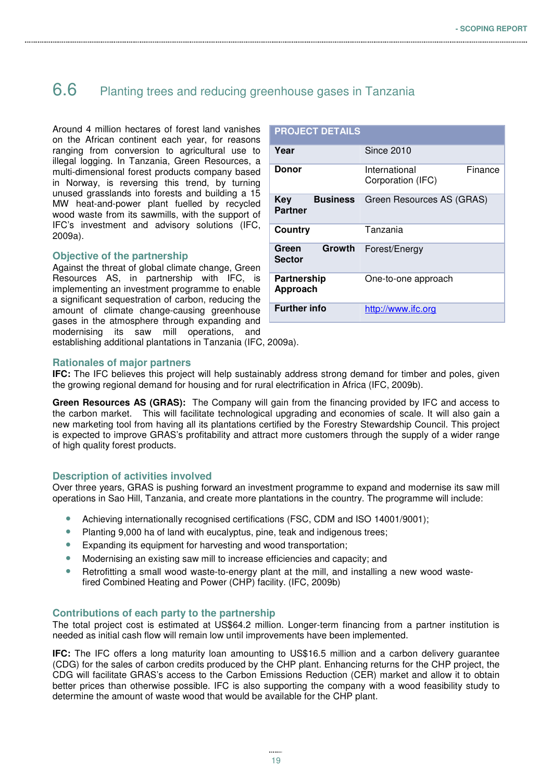### 6.6 Planting trees and reducing greenhouse gases in Tanzania

Around 4 million hectares of forest land vanishes on the African continent each year, for reasons ranging from conversion to agricultural use to illegal logging. In Tanzania, Green Resources, a multi-dimensional forest products company based in Norway, is reversing this trend, by turning unused grasslands into forests and building a 15 MW heat-and-power plant fuelled by recycled wood waste from its sawmills, with the support of IFC's investment and advisory solutions (IFC, 2009a).

### **Objective of the partnership**

Against the threat of global climate change, Green Resources AS, in partnership with IFC, is implementing an investment programme to enable a significant sequestration of carbon, reducing the amount of climate change-causing greenhouse gases in the atmosphere through expanding and modernising its saw mill operations, and

| <b>PROJECT DETAILS</b>                   |                                               |  |
|------------------------------------------|-----------------------------------------------|--|
| Year                                     | Since 2010                                    |  |
| Donor                                    | Finance<br>International<br>Corporation (IFC) |  |
| Key<br><b>Business</b><br><b>Partner</b> | Green Resources AS (GRAS)                     |  |
| Country                                  | Tanzania                                      |  |
| Growth<br>Green<br><b>Sector</b>         | Forest/Energy                                 |  |
| <b>Partnership</b><br>Approach           | One-to-one approach                           |  |
| <b>Further info</b>                      | http://www.ifc.org                            |  |

establishing additional plantations in Tanzania (IFC, 2009a).

### **Rationales of major partners**

**IFC:** The IFC believes this project will help sustainably address strong demand for timber and poles, given the growing regional demand for housing and for rural electrification in Africa (IFC, 2009b).

**Green Resources AS (GRAS):** The Company will gain from the financing provided by IFC and access to the carbon market. This will facilitate technological upgrading and economies of scale. It will also gain a new marketing tool from having all its plantations certified by the Forestry Stewardship Council. This project is expected to improve GRAS's profitability and attract more customers through the supply of a wider range of high quality forest products.

### **Description of activities involved**

Over three years, GRAS is pushing forward an investment programme to expand and modernise its saw mill operations in Sao Hill, Tanzania, and create more plantations in the country. The programme will include:

- Achieving internationally recognised certifications (FSC, CDM and ISO 14001/9001);
- Planting 9,000 ha of land with eucalyptus, pine, teak and indigenous trees;
- Expanding its equipment for harvesting and wood transportation;
- Modernising an existing saw mill to increase efficiencies and capacity; and
- Retrofitting a small wood waste-to-energy plant at the mill, and installing a new wood wastefired Combined Heating and Power (CHP) facility. (IFC, 2009b)

### **Contributions of each party to the partnership**

The total project cost is estimated at US\$64.2 million. Longer-term financing from a partner institution is needed as initial cash flow will remain low until improvements have been implemented.

**IFC:** The IFC offers a long maturity loan amounting to US\$16.5 million and a carbon delivery guarantee (CDG) for the sales of carbon credits produced by the CHP plant. Enhancing returns for the CHP project, the CDG will facilitate GRAS's access to the Carbon Emissions Reduction (CER) market and allow it to obtain better prices than otherwise possible. IFC is also supporting the company with a wood feasibility study to determine the amount of waste wood that would be available for the CHP plant.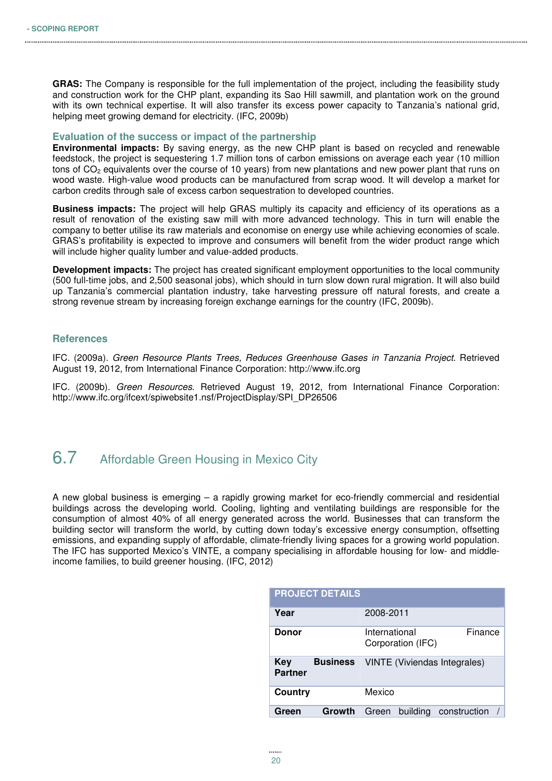**GRAS:** The Company is responsible for the full implementation of the project, including the feasibility study and construction work for the CHP plant, expanding its Sao Hill sawmill, and plantation work on the ground with its own technical expertise. It will also transfer its excess power capacity to Tanzania's national grid, helping meet growing demand for electricity. (IFC, 2009b)

### **Evaluation of the success or impact of the partnership**

**Environmental impacts:** By saving energy, as the new CHP plant is based on recycled and renewable feedstock, the project is sequestering 1.7 million tons of carbon emissions on average each year (10 million tons of CO<sub>2</sub> equivalents over the course of 10 years) from new plantations and new power plant that runs on wood waste. High-value wood products can be manufactured from scrap wood. It will develop a market for carbon credits through sale of excess carbon sequestration to developed countries.

**Business impacts:** The project will help GRAS multiply its capacity and efficiency of its operations as a result of renovation of the existing saw mill with more advanced technology. This in turn will enable the company to better utilise its raw materials and economise on energy use while achieving economies of scale. GRAS's profitability is expected to improve and consumers will benefit from the wider product range which will include higher quality lumber and value-added products.

**Development impacts:** The project has created significant employment opportunities to the local community (500 full-time jobs, and 2,500 seasonal jobs), which should in turn slow down rural migration. It will also build up Tanzania's commercial plantation industry, take harvesting pressure off natural forests, and create a strong revenue stream by increasing foreign exchange earnings for the country (IFC, 2009b).

#### **References**

IFC. (2009a). Green Resource Plants Trees, Reduces Greenhouse Gases in Tanzania Project. Retrieved August 19, 2012, from International Finance Corporation: http://www.ifc.org

IFC. (2009b). Green Resources. Retrieved August 19, 2012, from International Finance Corporation: http://www.ifc.org/ifcext/spiwebsite1.nsf/ProjectDisplay/SPI\_DP26506

### 6.7 Affordable Green Housing in Mexico City

A new global business is emerging – a rapidly growing market for eco-friendly commercial and residential buildings across the developing world. Cooling, lighting and ventilating buildings are responsible for the consumption of almost 40% of all energy generated across the world. Businesses that can transform the building sector will transform the world, by cutting down today's excessive energy consumption, offsetting emissions, and expanding supply of affordable, climate-friendly living spaces for a growing world population. The IFC has supported Mexico's VINTE, a company specialising in affordable housing for low- and middleincome families, to build greener housing. (IFC, 2012)

| <b>PROJECT DETAILS</b>                          |                                               |
|-------------------------------------------------|-----------------------------------------------|
| Year                                            | 2008-2011                                     |
| Donor                                           | Finance<br>International<br>Corporation (IFC) |
| <b>Key</b><br><b>Business</b><br><b>Partner</b> | <b>VINTE</b> (Viviendas Integrales)           |
| Country                                         | Mexico                                        |
| Growth<br>Green                                 | building<br>construction<br>Green             |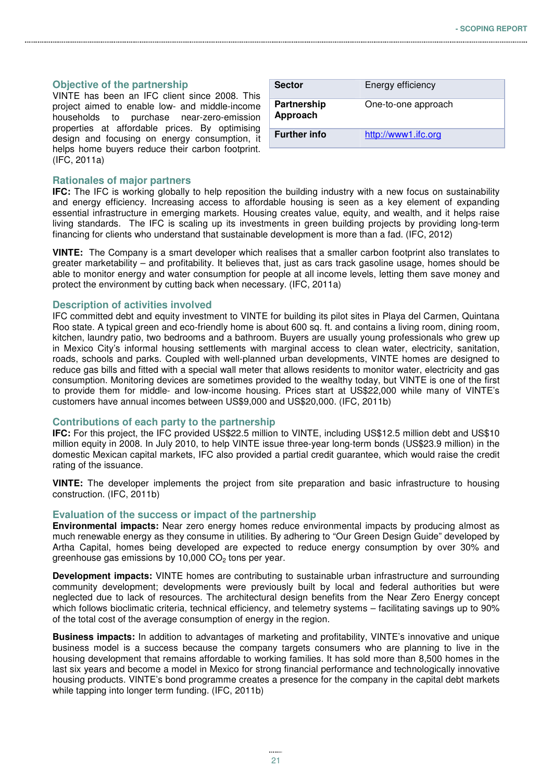### **Objective of the partnership**

VINTE has been an IFC client since 2008. This project aimed to enable low- and middle-income households to purchase near-zero-emission properties at affordable prices. By optimising design and focusing on energy consumption, it helps home buyers reduce their carbon footprint. (IFC, 2011a)

| <b>Sector</b>           | Energy efficiency   |
|-------------------------|---------------------|
| Partnership<br>Approach | One-to-one approach |
| <b>Further info</b>     | http://www1.ifc.org |

#### **Rationales of major partners**

**IFC:** The IFC is working globally to help reposition the building industry with a new focus on sustainability and energy efficiency. Increasing access to affordable housing is seen as a key element of expanding essential infrastructure in emerging markets. Housing creates value, equity, and wealth, and it helps raise living standards. The IFC is scaling up its investments in green building projects by providing long-term financing for clients who understand that sustainable development is more than a fad. (IFC, 2012)

**VINTE:** The Company is a smart developer which realises that a smaller carbon footprint also translates to greater marketability – and profitability. It believes that, just as cars track gasoline usage, homes should be able to monitor energy and water consumption for people at all income levels, letting them save money and protect the environment by cutting back when necessary. (IFC, 2011a)

#### **Description of activities involved**

IFC committed debt and equity investment to VINTE for building its pilot sites in Playa del Carmen, Quintana Roo state. A typical green and eco-friendly home is about 600 sq. ft. and contains a living room, dining room, kitchen, laundry patio, two bedrooms and a bathroom. Buyers are usually young professionals who grew up in Mexico City's informal housing settlements with marginal access to clean water, electricity, sanitation, roads, schools and parks. Coupled with well-planned urban developments, VINTE homes are designed to reduce gas bills and fitted with a special wall meter that allows residents to monitor water, electricity and gas consumption. Monitoring devices are sometimes provided to the wealthy today, but VINTE is one of the first to provide them for middle- and low-income housing. Prices start at US\$22,000 while many of VINTE's customers have annual incomes between US\$9,000 and US\$20,000. (IFC, 2011b)

### **Contributions of each party to the partnership**

**IFC:** For this project, the IFC provided US\$22.5 million to VINTE, including US\$12.5 million debt and US\$10 million equity in 2008. In July 2010, to help VINTE issue three-year long-term bonds (US\$23.9 million) in the domestic Mexican capital markets, IFC also provided a partial credit guarantee, which would raise the credit rating of the issuance.

**VINTE:** The developer implements the project from site preparation and basic infrastructure to housing construction. (IFC, 2011b)

#### **Evaluation of the success or impact of the partnership**

**Environmental impacts:** Near zero energy homes reduce environmental impacts by producing almost as much renewable energy as they consume in utilities. By adhering to "Our Green Design Guide" developed by Artha Capital, homes being developed are expected to reduce energy consumption by over 30% and greenhouse gas emissions by  $10,000$  CO<sub>2</sub> tons per year.

**Development impacts:** VINTE homes are contributing to sustainable urban infrastructure and surrounding community development; developments were previously built by local and federal authorities but were neglected due to lack of resources. The architectural design benefits from the Near Zero Energy concept which follows bioclimatic criteria, technical efficiency, and telemetry systems – facilitating savings up to 90% of the total cost of the average consumption of energy in the region.

**Business impacts:** In addition to advantages of marketing and profitability, VINTE's innovative and unique business model is a success because the company targets consumers who are planning to live in the housing development that remains affordable to working families. It has sold more than 8,500 homes in the last six years and become a model in Mexico for strong financial performance and technologically innovative housing products. VINTE's bond programme creates a presence for the company in the capital debt markets while tapping into longer term funding. (IFC, 2011b)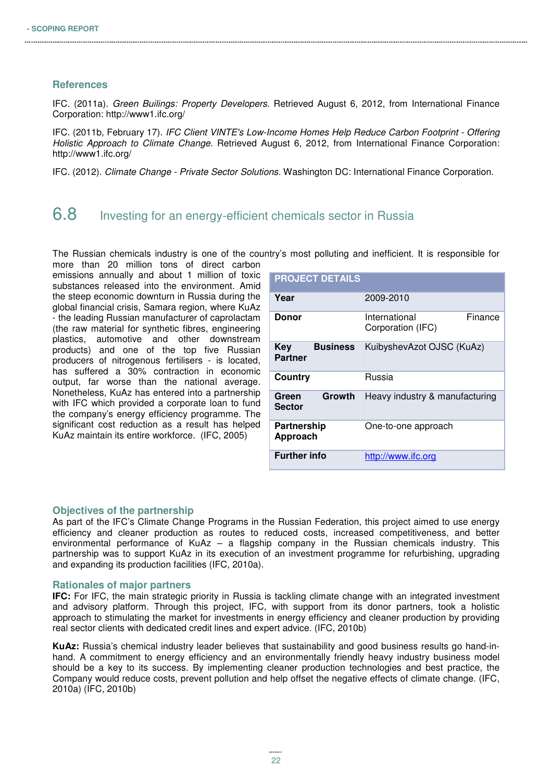### **References**

IFC. (2011a). Green Builings: Property Developers. Retrieved August 6, 2012, from International Finance Corporation: http://www1.ifc.org/

IFC. (2011b, February 17). IFC Client VINTE's Low-Income Homes Help Reduce Carbon Footprint - Offering Holistic Approach to Climate Change. Retrieved August 6, 2012, from International Finance Corporation: http://www1.ifc.org/

IFC. (2012). Climate Change - Private Sector Solutions. Washington DC: International Finance Corporation.

### 6.8 Investing for an energy-efficient chemicals sector in Russia

The Russian chemicals industry is one of the country's most polluting and inefficient. It is responsible for

more than 20 million tons of direct carbon emissions annually and about 1 million of toxic substances released into the environment. Amid the steep economic downturn in Russia during the global financial crisis, Samara region, where KuAz - the leading Russian manufacturer of caprolactam (the raw material for synthetic fibres, engineering plastics, automotive and other downstream products) and one of the top five Russian producers of nitrogenous fertilisers - is located, has suffered a 30% contraction in economic output, far worse than the national average. Nonetheless, KuAz has entered into a partnership with IFC which provided a corporate loan to fund the company's energy efficiency programme. The significant cost reduction as a result has helped KuAz maintain its entire workforce. (IFC, 2005)

| <b>PROJECT DETAILS</b>                   |                                               |  |
|------------------------------------------|-----------------------------------------------|--|
| Year                                     | 2009-2010                                     |  |
| Donor                                    | Finance<br>International<br>Corporation (IFC) |  |
| Key<br><b>Business</b><br><b>Partner</b> | KuibyshevAzot OJSC (KuAz)                     |  |
| Country                                  | Russia                                        |  |
| Growth<br>Green<br><b>Sector</b>         | Heavy industry & manufacturing                |  |
| <b>Partnership</b><br>Approach           | One-to-one approach                           |  |
| <b>Further info</b>                      | http://www.ifc.org                            |  |

#### **Objectives of the partnership**

As part of the IFC's Climate Change Programs in the Russian Federation, this project aimed to use energy efficiency and cleaner production as routes to reduced costs, increased competitiveness, and better environmental performance of KuAz – a flagship company in the Russian chemicals industry. This partnership was to support KuAz in its execution of an investment programme for refurbishing, upgrading and expanding its production facilities (IFC, 2010a).

### **Rationales of major partners**

**IFC:** For IFC, the main strategic priority in Russia is tackling climate change with an integrated investment and advisory platform. Through this project, IFC, with support from its donor partners, took a holistic approach to stimulating the market for investments in energy efficiency and cleaner production by providing real sector clients with dedicated credit lines and expert advice. (IFC, 2010b)

**KuAz:** Russia's chemical industry leader believes that sustainability and good business results go hand-inhand. A commitment to energy efficiency and an environmentally friendly heavy industry business model should be a key to its success. By implementing cleaner production technologies and best practice, the Company would reduce costs, prevent pollution and help offset the negative effects of climate change. (IFC, 2010a) (IFC, 2010b)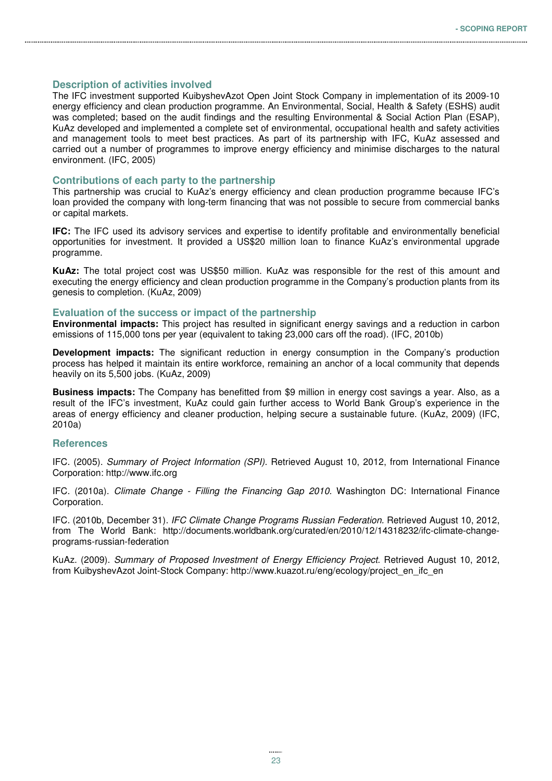### **Description of activities involved**

The IFC investment supported KuibyshevAzot Open Joint Stock Company in implementation of its 2009-10 energy efficiency and clean production programme. An Environmental, Social, Health & Safety (ESHS) audit was completed; based on the audit findings and the resulting Environmental & Social Action Plan (ESAP), KuAz developed and implemented a complete set of environmental, occupational health and safety activities and management tools to meet best practices. As part of its partnership with IFC, KuAz assessed and carried out a number of programmes to improve energy efficiency and minimise discharges to the natural environment. (IFC, 2005)

#### **Contributions of each party to the partnership**

This partnership was crucial to KuAz's energy efficiency and clean production programme because IFC's loan provided the company with long-term financing that was not possible to secure from commercial banks or capital markets.

**IFC:** The IFC used its advisory services and expertise to identify profitable and environmentally beneficial opportunities for investment. It provided a US\$20 million loan to finance KuAz's environmental upgrade programme.

**KuAz:** The total project cost was US\$50 million. KuAz was responsible for the rest of this amount and executing the energy efficiency and clean production programme in the Company's production plants from its genesis to completion. (KuAz, 2009)

#### **Evaluation of the success or impact of the partnership**

**Environmental impacts:** This project has resulted in significant energy savings and a reduction in carbon emissions of 115,000 tons per year (equivalent to taking 23,000 cars off the road). (IFC, 2010b)

**Development impacts:** The significant reduction in energy consumption in the Company's production process has helped it maintain its entire workforce, remaining an anchor of a local community that depends heavily on its 5,500 jobs. (KuAz, 2009)

**Business impacts:** The Company has benefitted from \$9 million in energy cost savings a year. Also, as a result of the IFC's investment, KuAz could gain further access to World Bank Group's experience in the areas of energy efficiency and cleaner production, helping secure a sustainable future. (KuAz, 2009) (IFC, 2010a)

### **References**

IFC. (2005). Summary of Project Information (SPI). Retrieved August 10, 2012, from International Finance Corporation: http://www.ifc.org

IFC. (2010a). Climate Change - Filling the Financing Gap 2010. Washington DC: International Finance Corporation.

IFC. (2010b, December 31). IFC Climate Change Programs Russian Federation. Retrieved August 10, 2012, from The World Bank: http://documents.worldbank.org/curated/en/2010/12/14318232/ifc-climate-changeprograms-russian-federation

KuAz. (2009). Summary of Proposed Investment of Energy Efficiency Project. Retrieved August 10, 2012, from KuibyshevAzot Joint-Stock Company: http://www.kuazot.ru/eng/ecology/project\_en\_ifc\_en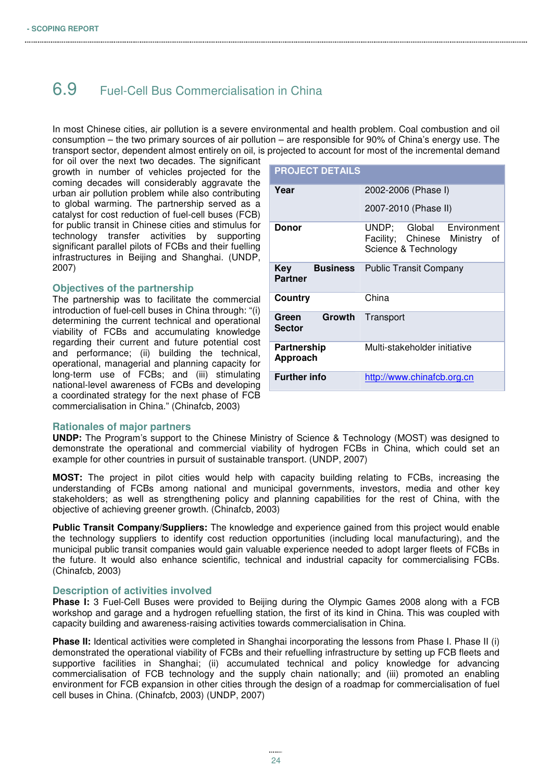### 6.9 Fuel-Cell Bus Commercialisation in China

In most Chinese cities, air pollution is a severe environmental and health problem. Coal combustion and oil consumption – the two primary sources of air pollution – are responsible for 90% of China's energy use. The transport sector, dependent almost entirely on oil, is projected to account for most of the incremental demand

for oil over the next two decades. The significant growth in number of vehicles projected for the coming decades will considerably aggravate the urban air pollution problem while also contributing to global warming. The partnership served as a catalyst for cost reduction of fuel-cell buses (FCB) for public transit in Chinese cities and stimulus for technology transfer activities by supporting significant parallel pilots of FCBs and their fuelling infrastructures in Beijing and Shanghai. (UNDP, 2007)

### **Objectives of the partnership**

The partnership was to facilitate the commercial introduction of fuel-cell buses in China through: "(i) determining the current technical and operational viability of FCBs and accumulating knowledge regarding their current and future potential cost and performance; (ii) building the technical, operational, managerial and planning capacity for long-term use of FCBs; and (iii) stimulating national-level awareness of FCBs and developing a coordinated strategy for the next phase of FCB commercialisation in China." (Chinafcb, 2003)

| <b>PROJECT DETAILS</b>                     |                                                                                       |  |  |
|--------------------------------------------|---------------------------------------------------------------------------------------|--|--|
| Year                                       | 2002-2006 (Phase I)                                                                   |  |  |
|                                            | 2007-2010 (Phase II)                                                                  |  |  |
| Donor                                      | UNDP: Global Environment<br>Facility; Chinese Ministry<br>_of<br>Science & Technology |  |  |
| Key l<br><b>Business</b><br><b>Partner</b> | <b>Public Transit Company</b>                                                         |  |  |
| Country                                    | China                                                                                 |  |  |
| Growth<br>Green<br><b>Sector</b>           | Transport                                                                             |  |  |
| Partnership<br>Approach                    | Multi-stakeholder initiative                                                          |  |  |
| <b>Further info</b>                        | http://www.chinafcb.org.cn                                                            |  |  |

### **Rationales of major partners**

**UNDP:** The Program's support to the Chinese Ministry of Science & Technology (MOST) was designed to demonstrate the operational and commercial viability of hydrogen FCBs in China, which could set an example for other countries in pursuit of sustainable transport. (UNDP, 2007)

**MOST:** The project in pilot cities would help with capacity building relating to FCBs, increasing the understanding of FCBs among national and municipal governments, investors, media and other key stakeholders; as well as strengthening policy and planning capabilities for the rest of China, with the objective of achieving greener growth. (Chinafcb, 2003)

**Public Transit Company/Suppliers:** The knowledge and experience gained from this project would enable the technology suppliers to identify cost reduction opportunities (including local manufacturing), and the municipal public transit companies would gain valuable experience needed to adopt larger fleets of FCBs in the future. It would also enhance scientific, technical and industrial capacity for commercialising FCBs. (Chinafcb, 2003)

### **Description of activities involved**

**Phase I:** 3 Fuel-Cell Buses were provided to Beijing during the Olympic Games 2008 along with a FCB workshop and garage and a hydrogen refuelling station, the first of its kind in China. This was coupled with capacity building and awareness-raising activities towards commercialisation in China.

**Phase II:** Identical activities were completed in Shanghai incorporating the lessons from Phase I. Phase II (i) demonstrated the operational viability of FCBs and their refuelling infrastructure by setting up FCB fleets and supportive facilities in Shanghai; (ii) accumulated technical and policy knowledge for advancing commercialisation of FCB technology and the supply chain nationally; and (iii) promoted an enabling environment for FCB expansion in other cities through the design of a roadmap for commercialisation of fuel cell buses in China. (Chinafcb, 2003) (UNDP, 2007)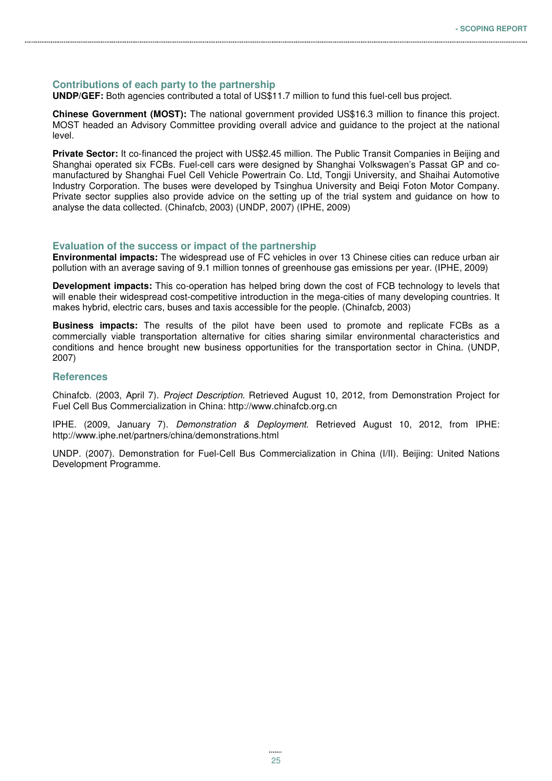### **Contributions of each party to the partnership**

**UNDP/GEF:** Both agencies contributed a total of US\$11.7 million to fund this fuel-cell bus project.

**Chinese Government (MOST):** The national government provided US\$16.3 million to finance this project. MOST headed an Advisory Committee providing overall advice and guidance to the project at the national level.

**Private Sector:** It co-financed the project with US\$2.45 million. The Public Transit Companies in Beijing and Shanghai operated six FCBs. Fuel-cell cars were designed by Shanghai Volkswagen's Passat GP and comanufactured by Shanghai Fuel Cell Vehicle Powertrain Co. Ltd, Tongji University, and Shaihai Automotive Industry Corporation. The buses were developed by Tsinghua University and Beiqi Foton Motor Company. Private sector supplies also provide advice on the setting up of the trial system and guidance on how to analyse the data collected. (Chinafcb, 2003) (UNDP, 2007) (IPHE, 2009)

### **Evaluation of the success or impact of the partnership**

**Environmental impacts:** The widespread use of FC vehicles in over 13 Chinese cities can reduce urban air pollution with an average saving of 9.1 million tonnes of greenhouse gas emissions per year. (IPHE, 2009)

**Development impacts:** This co-operation has helped bring down the cost of FCB technology to levels that will enable their widespread cost-competitive introduction in the mega-cities of many developing countries. It makes hybrid, electric cars, buses and taxis accessible for the people. (Chinafcb, 2003)

**Business impacts:** The results of the pilot have been used to promote and replicate FCBs as a commercially viable transportation alternative for cities sharing similar environmental characteristics and conditions and hence brought new business opportunities for the transportation sector in China. (UNDP, 2007)

#### **References**

Chinafcb. (2003, April 7). Project Description. Retrieved August 10, 2012, from Demonstration Project for Fuel Cell Bus Commercialization in China: http://www.chinafcb.org.cn

IPHE. (2009, January 7). Demonstration & Deployment. Retrieved August 10, 2012, from IPHE: http://www.iphe.net/partners/china/demonstrations.html

UNDP. (2007). Demonstration for Fuel-Cell Bus Commercialization in China (I/II). Beijing: United Nations Development Programme.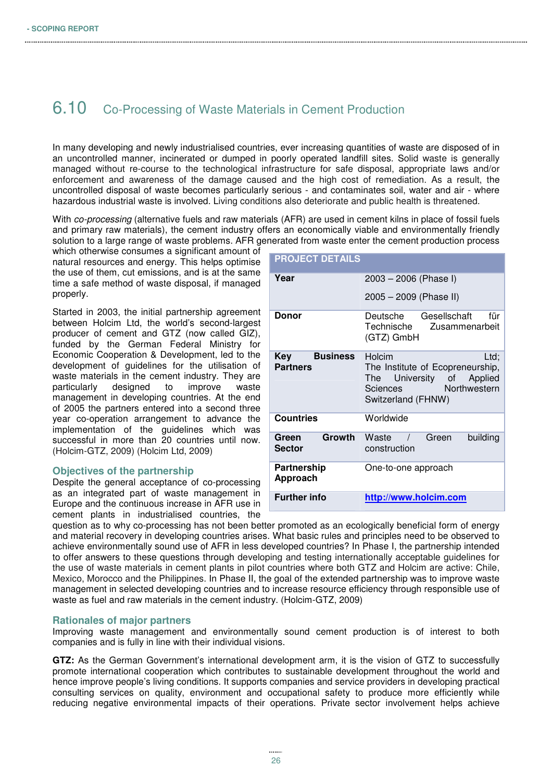### 6.10 Co-Processing of Waste Materials in Cement Production

In many developing and newly industrialised countries, ever increasing quantities of waste are disposed of in an uncontrolled manner, incinerated or dumped in poorly operated landfill sites. Solid waste is generally managed without re-course to the technological infrastructure for safe disposal, appropriate laws and/or enforcement and awareness of the damage caused and the high cost of remediation. As a result, the uncontrolled disposal of waste becomes particularly serious - and contaminates soil, water and air - where hazardous industrial waste is involved. Living conditions also deteriorate and public health is threatened.

With co-processing (alternative fuels and raw materials (AFR) are used in cement kilns in place of fossil fuels and primary raw materials), the cement industry offers an economically viable and environmentally friendly solution to a large range of waste problems. AFR generated from waste enter the cement production process

which otherwise consumes a significant amount of natural resources and energy. This helps optimise the use of them, cut emissions, and is at the same time a safe method of waste disposal, if managed properly.

Started in 2003, the initial partnership agreement between Holcim Ltd, the world's second-largest producer of cement and GTZ (now called GIZ), funded by the German Federal Ministry for Economic Cooperation & Development, led to the development of guidelines for the utilisation of waste materials in the cement industry. They are particularly designed to improve waste management in developing countries. At the end of 2005 the partners entered into a second three year co-operation arrangement to advance the implementation of the guidelines which was successful in more than 20 countries until now. (Holcim-GTZ, 2009) (Holcim Ltd, 2009)

### **Objectives of the partnership**

Despite the general acceptance of co-processing as an integrated part of waste management in Europe and the continuous increase in AFR use in cement plants in industrialised countries, the

| <b>PROJECT DETAILS</b>                    |                                                                                                                                |  |
|-------------------------------------------|--------------------------------------------------------------------------------------------------------------------------------|--|
| Year                                      | 2003 – 2006 (Phase I)<br>2005 - 2009 (Phase II)                                                                                |  |
| Donor                                     | Deutsche Gesellschaft für<br>Technische Zusammenarbeit<br>(GTZ) GmbH                                                           |  |
| <b>Business</b><br>Key<br><b>Partners</b> | Holcim<br>Ltd:<br>The Institute of Ecopreneurship,<br>The University of Applied<br>Sciences Northwestern<br>Switzerland (FHNW) |  |
| <b>Countries</b>                          | Worldwide                                                                                                                      |  |
| Growth<br>Green<br><b>Sector</b>          | Waste /<br>Green<br>building<br>construction                                                                                   |  |
| <b>Partnership</b><br>Approach            | One-to-one approach                                                                                                            |  |
| <b>Further info</b>                       | http://www.holcim.com                                                                                                          |  |

question as to why co-processing has not been better promoted as an ecologically beneficial form of energy and material recovery in developing countries arises. What basic rules and principles need to be observed to achieve environmentally sound use of AFR in less developed countries? In Phase I, the partnership intended to offer answers to these questions through developing and testing internationally acceptable guidelines for the use of waste materials in cement plants in pilot countries where both GTZ and Holcim are active: Chile, Mexico, Morocco and the Philippines. In Phase II, the goal of the extended partnership was to improve waste management in selected developing countries and to increase resource efficiency through responsible use of waste as fuel and raw materials in the cement industry. (Holcim-GTZ, 2009)

### **Rationales of major partners**

Improving waste management and environmentally sound cement production is of interest to both companies and is fully in line with their individual visions.

**GTZ:** As the German Government's international development arm, it is the vision of GTZ to successfully promote international cooperation which contributes to sustainable development throughout the world and hence improve people's living conditions. It supports companies and service providers in developing practical consulting services on quality, environment and occupational safety to produce more efficiently while reducing negative environmental impacts of their operations. Private sector involvement helps achieve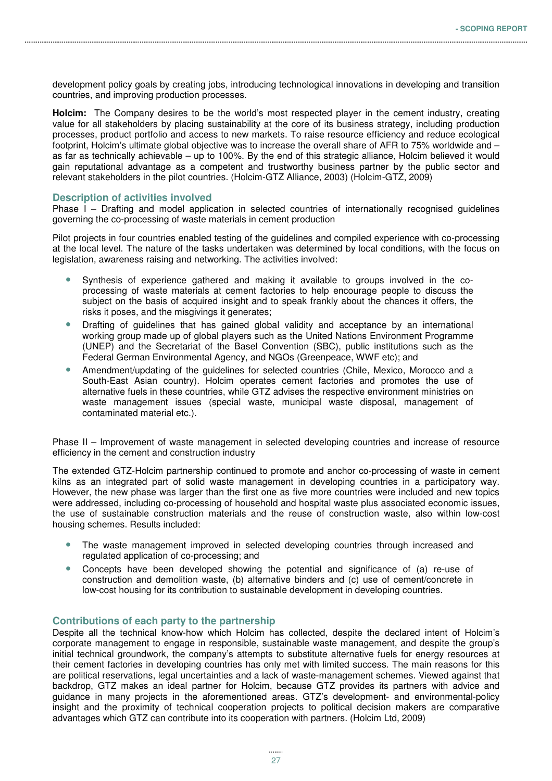development policy goals by creating jobs, introducing technological innovations in developing and transition countries, and improving production processes.

**Holcim:** The Company desires to be the world's most respected player in the cement industry, creating value for all stakeholders by placing sustainability at the core of its business strategy, including production processes, product portfolio and access to new markets. To raise resource efficiency and reduce ecological footprint, Holcim's ultimate global objective was to increase the overall share of AFR to 75% worldwide and – as far as technically achievable – up to 100%. By the end of this strategic alliance, Holcim believed it would gain reputational advantage as a competent and trustworthy business partner by the public sector and relevant stakeholders in the pilot countries. (Holcim-GTZ Alliance, 2003) (Holcim-GTZ, 2009)

### **Description of activities involved**

Phase I – Drafting and model application in selected countries of internationally recognised guidelines governing the co-processing of waste materials in cement production

Pilot projects in four countries enabled testing of the guidelines and compiled experience with co-processing at the local level. The nature of the tasks undertaken was determined by local conditions, with the focus on legislation, awareness raising and networking. The activities involved:

- Synthesis of experience gathered and making it available to groups involved in the coprocessing of waste materials at cement factories to help encourage people to discuss the subject on the basis of acquired insight and to speak frankly about the chances it offers, the risks it poses, and the misgivings it generates;
- Drafting of guidelines that has gained global validity and acceptance by an international working group made up of global players such as the United Nations Environment Programme (UNEP) and the Secretariat of the Basel Convention (SBC), public institutions such as the Federal German Environmental Agency, and NGOs (Greenpeace, WWF etc); and
- Amendment/updating of the guidelines for selected countries (Chile, Mexico, Morocco and a South-East Asian country). Holcim operates cement factories and promotes the use of alternative fuels in these countries, while GTZ advises the respective environment ministries on waste management issues (special waste, municipal waste disposal, management of contaminated material etc.).

Phase II – Improvement of waste management in selected developing countries and increase of resource efficiency in the cement and construction industry

The extended GTZ-Holcim partnership continued to promote and anchor co-processing of waste in cement kilns as an integrated part of solid waste management in developing countries in a participatory way. However, the new phase was larger than the first one as five more countries were included and new topics were addressed, including co-processing of household and hospital waste plus associated economic issues, the use of sustainable construction materials and the reuse of construction waste, also within low-cost housing schemes. Results included:

- The waste management improved in selected developing countries through increased and regulated application of co-processing; and
- Concepts have been developed showing the potential and significance of (a) re-use of construction and demolition waste, (b) alternative binders and (c) use of cement/concrete in low-cost housing for its contribution to sustainable development in developing countries.

### **Contributions of each party to the partnership**

Despite all the technical know-how which Holcim has collected, despite the declared intent of Holcim's corporate management to engage in responsible, sustainable waste management, and despite the group's initial technical groundwork, the company's attempts to substitute alternative fuels for energy resources at their cement factories in developing countries has only met with limited success. The main reasons for this are political reservations, legal uncertainties and a lack of waste-management schemes. Viewed against that backdrop, GTZ makes an ideal partner for Holcim, because GTZ provides its partners with advice and guidance in many projects in the aforementioned areas. GTZ's development- and environmental-policy insight and the proximity of technical cooperation projects to political decision makers are comparative advantages which GTZ can contribute into its cooperation with partners. (Holcim Ltd, 2009)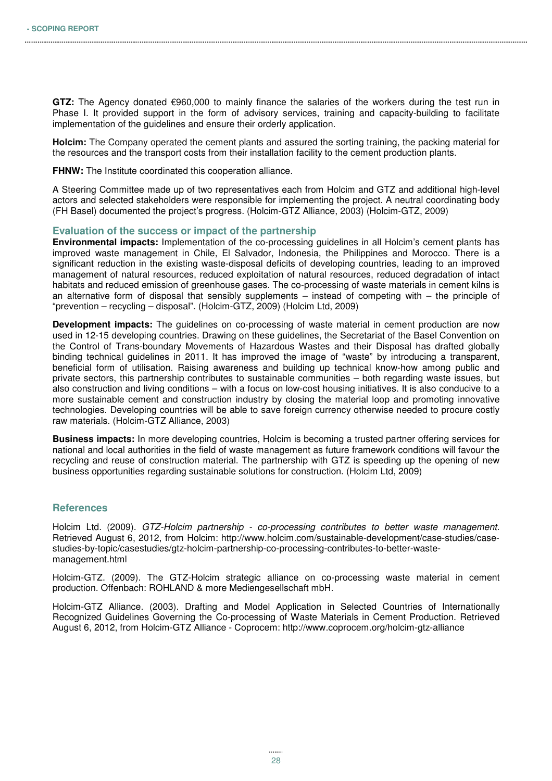**GTZ:** The Agency donated €960,000 to mainly finance the salaries of the workers during the test run in Phase I. It provided support in the form of advisory services, training and capacity-building to facilitate implementation of the guidelines and ensure their orderly application.

**Holcim:** The Company operated the cement plants and assured the sorting training, the packing material for the resources and the transport costs from their installation facility to the cement production plants.

**FHNW:** The Institute coordinated this cooperation alliance.

A Steering Committee made up of two representatives each from Holcim and GTZ and additional high-level actors and selected stakeholders were responsible for implementing the project. A neutral coordinating body (FH Basel) documented the project's progress. (Holcim-GTZ Alliance, 2003) (Holcim-GTZ, 2009)

### **Evaluation of the success or impact of the partnership**

**Environmental impacts:** Implementation of the co-processing guidelines in all Holcim's cement plants has improved waste management in Chile, El Salvador, Indonesia, the Philippines and Morocco. There is a significant reduction in the existing waste-disposal deficits of developing countries, leading to an improved management of natural resources, reduced exploitation of natural resources, reduced degradation of intact habitats and reduced emission of greenhouse gases. The co-processing of waste materials in cement kilns is an alternative form of disposal that sensibly supplements – instead of competing with – the principle of "prevention – recycling – disposal". (Holcim-GTZ, 2009) (Holcim Ltd, 2009)

**Development impacts:** The guidelines on co-processing of waste material in cement production are now used in 12-15 developing countries. Drawing on these guidelines, the Secretariat of the Basel Convention on the Control of Trans-boundary Movements of Hazardous Wastes and their Disposal has drafted globally binding technical guidelines in 2011. It has improved the image of "waste" by introducing a transparent, beneficial form of utilisation. Raising awareness and building up technical know-how among public and private sectors, this partnership contributes to sustainable communities – both regarding waste issues, but also construction and living conditions – with a focus on low-cost housing initiatives. It is also conducive to a more sustainable cement and construction industry by closing the material loop and promoting innovative technologies. Developing countries will be able to save foreign currency otherwise needed to procure costly raw materials. (Holcim-GTZ Alliance, 2003)

**Business impacts:** In more developing countries, Holcim is becoming a trusted partner offering services for national and local authorities in the field of waste management as future framework conditions will favour the recycling and reuse of construction material. The partnership with GTZ is speeding up the opening of new business opportunities regarding sustainable solutions for construction. (Holcim Ltd, 2009)

### **References**

Holcim Ltd. (2009). GTZ-Holcim partnership - co-processing contributes to better waste management. Retrieved August 6, 2012, from Holcim: http://www.holcim.com/sustainable-development/case-studies/casestudies-by-topic/casestudies/gtz-holcim-partnership-co-processing-contributes-to-better-wastemanagement.html

Holcim-GTZ. (2009). The GTZ-Holcim strategic alliance on co-processing waste material in cement production. Offenbach: ROHLAND & more Mediengesellschaft mbH.

Holcim-GTZ Alliance. (2003). Drafting and Model Application in Selected Countries of Internationally Recognized Guidelines Governing the Co-processing of Waste Materials in Cement Production. Retrieved August 6, 2012, from Holcim-GTZ Alliance - Coprocem: http://www.coprocem.org/holcim-gtz-alliance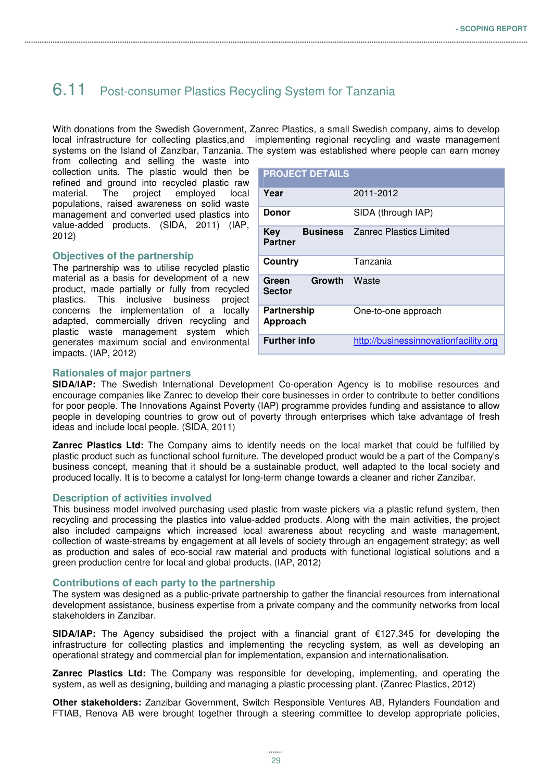### 6.11 Post-consumer Plastics Recycling System for Tanzania

With donations from the Swedish Government, Zanrec Plastics, a small Swedish company, aims to develop local infrastructure for collecting plastics,and implementing regional recycling and waste management systems on the Island of Zanzibar, Tanzania. The system was established where people can earn money

from collecting and selling the waste into collection units. The plastic would then be refined and ground into recycled plastic raw material. The project employed local populations, raised awareness on solid waste management and converted used plastics into value-added products. (SIDA, 2011) (IAP, 2012)

### **Objectives of the partnership**

The partnership was to utilise recycled plastic material as a basis for development of a new product, made partially or fully from recycled plastics. This inclusive business project concerns the implementation of a locally adapted, commercially driven recycling and plastic waste management system which generates maximum social and environmental impacts. (IAP, 2012)

| <b>PROJECT DETAILS</b>                  |                                         |  |
|-----------------------------------------|-----------------------------------------|--|
| Year                                    | 2011-2012                               |  |
| Donor                                   | SIDA (through IAP)                      |  |
| Key<br><b>Partner</b>                   | <b>Business</b> Zanrec Plastics Limited |  |
| Country                                 | Tanzania                                |  |
| <b>Growth</b><br>Green<br><b>Sector</b> | Waste                                   |  |
| Partnership<br>Approach                 | One-to-one approach                     |  |
| <b>Further info</b>                     | http://businessinnovationfacility.org   |  |

### **Rationales of major partners**

**SIDA/IAP:** The Swedish International Development Co-operation Agency is to mobilise resources and encourage companies like Zanrec to develop their core businesses in order to contribute to better conditions for poor people. The Innovations Against Poverty (IAP) programme provides funding and assistance to allow people in developing countries to grow out of poverty through enterprises which take advantage of fresh ideas and include local people. (SIDA, 2011)

**Zanrec Plastics Ltd:** The Company aims to identify needs on the local market that could be fulfilled by plastic product such as functional school furniture. The developed product would be a part of the Company's business concept, meaning that it should be a sustainable product, well adapted to the local society and produced locally. It is to become a catalyst for long-term change towards a cleaner and richer Zanzibar.

### **Description of activities involved**

This business model involved purchasing used plastic from waste pickers via a plastic refund system, then recycling and processing the plastics into value-added products. Along with the main activities, the project also included campaigns which increased local awareness about recycling and waste management, collection of waste-streams by engagement at all levels of society through an engagement strategy; as well as production and sales of eco-social raw material and products with functional logistical solutions and a green production centre for local and global products. (IAP, 2012)

### **Contributions of each party to the partnership**

The system was designed as a public-private partnership to gather the financial resources from international development assistance, business expertise from a private company and the community networks from local stakeholders in Zanzibar.

**SIDA/IAP:** The Agency subsidised the project with a financial grant of €127,345 for developing the infrastructure for collecting plastics and implementing the recycling system, as well as developing an operational strategy and commercial plan for implementation, expansion and internationalisation.

**Zanrec Plastics Ltd:** The Company was responsible for developing, implementing, and operating the system, as well as designing, building and managing a plastic processing plant. (Zanrec Plastics, 2012)

**Other stakeholders:** Zanzibar Government, Switch Responsible Ventures AB, Rylanders Foundation and FTIAB, Renova AB were brought together through a steering committee to develop appropriate policies,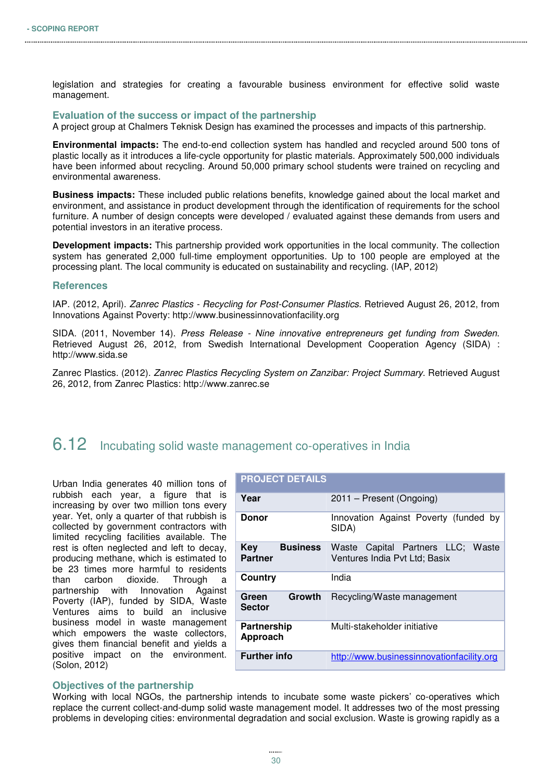legislation and strategies for creating a favourable business environment for effective solid waste management.

#### **Evaluation of the success or impact of the partnership**

A project group at Chalmers Teknisk Design has examined the processes and impacts of this partnership.

**Environmental impacts:** The end-to-end collection system has handled and recycled around 500 tons of plastic locally as it introduces a life-cycle opportunity for plastic materials. Approximately 500,000 individuals have been informed about recycling. Around 50,000 primary school students were trained on recycling and environmental awareness.

**Business impacts:** These included public relations benefits, knowledge gained about the local market and environment, and assistance in product development through the identification of requirements for the school furniture. A number of design concepts were developed / evaluated against these demands from users and potential investors in an iterative process.

**Development impacts:** This partnership provided work opportunities in the local community. The collection system has generated 2,000 full-time employment opportunities. Up to 100 people are employed at the processing plant. The local community is educated on sustainability and recycling. (IAP, 2012)

#### **References**

IAP. (2012, April). Zanrec Plastics - Recycling for Post-Consumer Plastics. Retrieved August 26, 2012, from Innovations Against Poverty: http://www.businessinnovationfacility.org

SIDA. (2011, November 14). Press Release - Nine innovative entrepreneurs get funding from Sweden. Retrieved August 26, 2012, from Swedish International Development Cooperation Agency (SIDA) : http://www.sida.se

Zanrec Plastics. (2012). Zanrec Plastics Recycling System on Zanzibar: Project Summary. Retrieved August 26, 2012, from Zanrec Plastics: http://www.zanrec.se

### 6.12 Incubating solid waste management co-operatives in India

Urban India generates 40 million tons of rubbish each year, a figure that is increasing by over two million tons every year. Yet, only a quarter of that rubbish is collected by government contractors with limited recycling facilities available. The rest is often neglected and left to decay, producing methane, which is estimated to be 23 times more harmful to residents than carbon dioxide. Through a partnership with Innovation Against Poverty (IAP), funded by SIDA, Waste Ventures aims to build an inclusive business model in waste management which empowers the waste collectors, gives them financial benefit and yields a positive impact on the environment. (Solon, 2012)

| <b>PROJECT DETAILS</b>                   |                                                                    |  |  |
|------------------------------------------|--------------------------------------------------------------------|--|--|
| Year                                     | 2011 - Present (Ongoing)                                           |  |  |
| Donor                                    | Innovation Against Poverty (funded by<br>SIDA)                     |  |  |
| Key<br><b>Business</b><br><b>Partner</b> | Waste Capital Partners LLC; Waste<br>Ventures India Pvt Ltd; Basix |  |  |
| <b>Country</b>                           | India                                                              |  |  |
| Growth<br>Green<br><b>Sector</b>         | Recycling/Waste management                                         |  |  |
| <b>Partnership</b><br>Approach           | Multi-stakeholder initiative                                       |  |  |
| <b>Further info</b>                      | http://www.businessinnovationfacility.org                          |  |  |

#### **Objectives of the partnership**

Working with local NGOs, the partnership intends to incubate some waste pickers' co-operatives which replace the current collect-and-dump solid waste management model. It addresses two of the most pressing problems in developing cities: environmental degradation and social exclusion. Waste is growing rapidly as a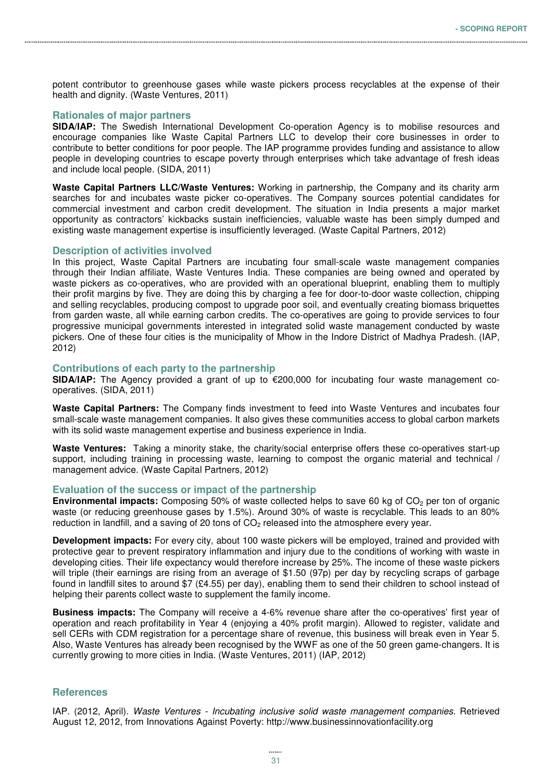potent contributor to greenhouse gases while waste pickers process recyclables at the expense of their health and dignity. (Waste Ventures, 2011)

#### **Rationales of major partners**

**SIDA/IAP:** The Swedish International Development Co-operation Agency is to mobilise resources and encourage companies like Waste Capital Partners LLC to develop their core businesses in order to contribute to better conditions for poor people. The IAP programme provides funding and assistance to allow people in developing countries to escape poverty through enterprises which take advantage of fresh ideas and include local people. (SIDA, 2011)

**Waste Capital Partners LLC/Waste Ventures:** Working in partnership, the Company and its charity arm searches for and incubates waste picker co-operatives. The Company sources potential candidates for commercial investment and carbon credit development. The situation in India presents a major market opportunity as contractors' kickbacks sustain inefficiencies, valuable waste has been simply dumped and existing waste management expertise is insufficiently leveraged. (Waste Capital Partners, 2012)

### **Description of activities involved**

In this project, Waste Capital Partners are incubating four small-scale waste management companies through their Indian affiliate, Waste Ventures India. These companies are being owned and operated by waste pickers as co-operatives, who are provided with an operational blueprint, enabling them to multiply their profit margins by five. They are doing this by charging a fee for door-to-door waste collection, chipping and selling recyclables, producing compost to upgrade poor soil, and eventually creating biomass briquettes from garden waste, all while earning carbon credits. The co-operatives are going to provide services to four progressive municipal governments interested in integrated solid waste management conducted by waste pickers. One of these four cities is the municipality of Mhow in the Indore District of Madhya Pradesh. (IAP, 2012)

#### **Contributions of each party to the partnership**

**SIDA/IAP:** The Agency provided a grant of up to €200,000 for incubating four waste management cooperatives. (SIDA, 2011)

**Waste Capital Partners:** The Company finds investment to feed into Waste Ventures and incubates four small-scale waste management companies. It also gives these communities access to global carbon markets with its solid waste management expertise and business experience in India.

**Waste Ventures:** Taking a minority stake, the charity/social enterprise offers these co-operatives start-up support, including training in processing waste, learning to compost the organic material and technical / management advice. (Waste Capital Partners, 2012)

#### **Evaluation of the success or impact of the partnership**

**Environmental impacts:** Composing 50% of waste collected helps to save 60 kg of CO<sub>2</sub> per ton of organic waste (or reducing greenhouse gases by 1.5%). Around 30% of waste is recyclable. This leads to an 80% reduction in landfill, and a saving of 20 tons of  $CO<sub>2</sub>$  released into the atmosphere every year.

**Development impacts:** For every city, about 100 waste pickers will be employed, trained and provided with protective gear to prevent respiratory inflammation and injury due to the conditions of working with waste in developing cities. Their life expectancy would therefore increase by 25%. The income of these waste pickers will triple (their earnings are rising from an average of \$1.50 (97p) per day by recycling scraps of garbage found in landfill sites to around \$7 (£4.55) per day), enabling them to send their children to school instead of helping their parents collect waste to supplement the family income.

**Business impacts:** The Company will receive a 4-6% revenue share after the co-operatives' first year of operation and reach profitability in Year 4 (enjoying a 40% profit margin). Allowed to register, validate and sell CERs with CDM registration for a percentage share of revenue, this business will break even in Year 5. Also, Waste Ventures has already been recognised by the WWF as one of the 50 green game-changers. It is currently growing to more cities in India. (Waste Ventures, 2011) (IAP, 2012)

#### **References**

IAP. (2012, April). Waste Ventures - Incubating inclusive solid waste management companies. Retrieved August 12, 2012, from Innovations Against Poverty: http://www.businessinnovationfacility.org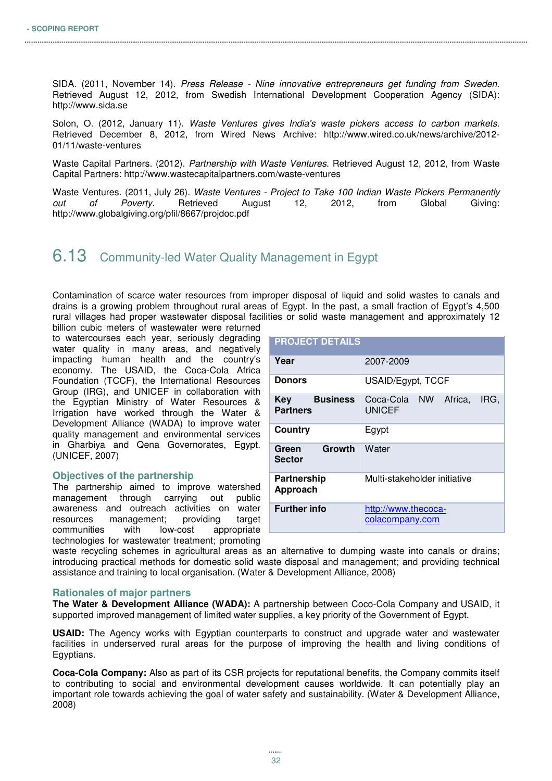SIDA. (2011, November 14). Press Release - Nine innovative entrepreneurs get funding from Sweden. Retrieved August 12, 2012, from Swedish International Development Cooperation Agency (SIDA): http://www.sida.se

Solon, O. (2012, January 11). Waste Ventures gives India's waste pickers access to carbon markets. Retrieved December 8, 2012, from Wired News Archive: http://www.wired.co.uk/news/archive/2012- 01/11/waste-ventures

Waste Capital Partners. (2012). Partnership with Waste Ventures. Retrieved August 12, 2012, from Waste Capital Partners: http://www.wastecapitalpartners.com/waste-ventures

Waste Ventures. (2011, July 26). Waste Ventures - Project to Take 100 Indian Waste Pickers Permanently out of Poverty. Retrieved August 12, 2012, from Global Giving: http://www.globalgiving.org/pfil/8667/projdoc.pdf

### 6.13 Community-led Water Quality Management in Egypt

Contamination of scarce water resources from improper disposal of liquid and solid wastes to canals and drains is a growing problem throughout rural areas of Egypt. In the past, a small fraction of Egypt's 4,500 rural villages had proper wastewater disposal facilities or solid waste management and approximately 12

billion cubic meters of wastewater were returned to watercourses each year, seriously degrading water quality in many areas, and negatively impacting human health and the country's economy. The USAID, the Coca-Cola Africa Foundation (TCCF), the International Resources Group (IRG), and UNICEF in collaboration with the Egyptian Ministry of Water Resources & Irrigation have worked through the Water & Development Alliance (WADA) to improve water quality management and environmental services in Gharbiya and Qena Governorates, Egypt. (UNICEF, 2007)

### **Objectives of the partnership**

The partnership aimed to improve watershed management through carrying out public awareness and outreach activities on water resources management; providing target<br>communities with low-cost appropriate communities with low-cost appropriate technologies for wastewater treatment; promoting

| <b>PROJECT DETAILS</b>                    |                                                            |  |  |
|-------------------------------------------|------------------------------------------------------------|--|--|
| Year                                      | 2007-2009                                                  |  |  |
| <b>Donors</b>                             | USAID/Egypt, TCCF                                          |  |  |
| <b>Business</b><br>Key<br><b>Partners</b> | Coca-Cola<br><b>NW</b><br>Africa.<br>IRG,<br><b>UNICEF</b> |  |  |
| Country                                   | Egypt                                                      |  |  |
| <b>Growth</b><br>Green<br><b>Sector</b>   | Water                                                      |  |  |
| <b>Partnership</b><br>Approach            | Multi-stakeholder initiative                               |  |  |
| <b>Further info</b>                       | http://www.thecoca-<br>colacompany.com                     |  |  |

waste recycling schemes in agricultural areas as an alternative to dumping waste into canals or drains; introducing practical methods for domestic solid waste disposal and management; and providing technical assistance and training to local organisation. (Water & Development Alliance, 2008)

#### **Rationales of major partners**

**The Water & Development Alliance (WADA):** A partnership between Coco-Cola Company and USAID, it supported improved management of limited water supplies, a key priority of the Government of Egypt.

**USAID:** The Agency works with Egyptian counterparts to construct and upgrade water and wastewater facilities in underserved rural areas for the purpose of improving the health and living conditions of Egyptians.

**Coca-Cola Company:** Also as part of its CSR projects for reputational benefits, the Company commits itself to contributing to social and environmental development causes worldwide. It can potentially play an important role towards achieving the goal of water safety and sustainability. (Water & Development Alliance, 2008)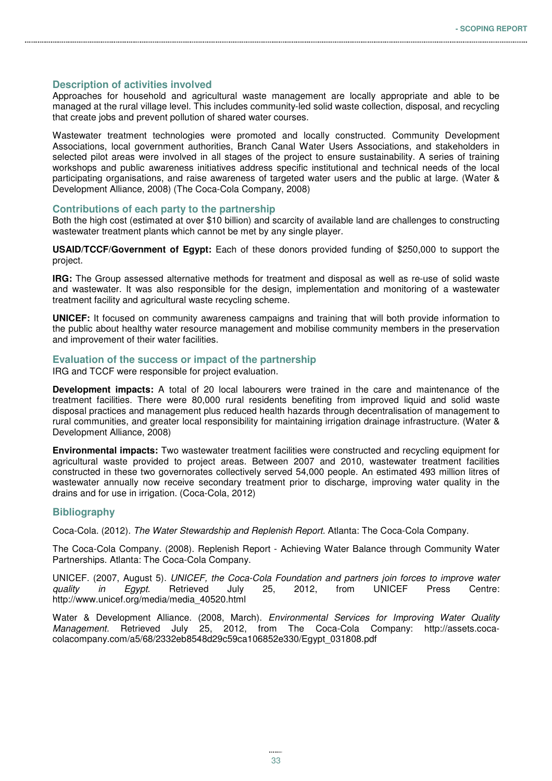### **Description of activities involved**

Approaches for household and agricultural waste management are locally appropriate and able to be managed at the rural village level. This includes community-led solid waste collection, disposal, and recycling that create jobs and prevent pollution of shared water courses.

Wastewater treatment technologies were promoted and locally constructed. Community Development Associations, local government authorities, Branch Canal Water Users Associations, and stakeholders in selected pilot areas were involved in all stages of the project to ensure sustainability. A series of training workshops and public awareness initiatives address specific institutional and technical needs of the local participating organisations, and raise awareness of targeted water users and the public at large. (Water & Development Alliance, 2008) (The Coca-Cola Company, 2008)

#### **Contributions of each party to the partnership**

Both the high cost (estimated at over \$10 billion) and scarcity of available land are challenges to constructing wastewater treatment plants which cannot be met by any single player.

**USAID/TCCF/Government of Egypt:** Each of these donors provided funding of \$250,000 to support the project.

**IRG:** The Group assessed alternative methods for treatment and disposal as well as re-use of solid waste and wastewater. It was also responsible for the design, implementation and monitoring of a wastewater treatment facility and agricultural waste recycling scheme.

**UNICEF:** It focused on community awareness campaigns and training that will both provide information to the public about healthy water resource management and mobilise community members in the preservation and improvement of their water facilities.

### **Evaluation of the success or impact of the partnership**

IRG and TCCF were responsible for project evaluation.

**Development impacts:** A total of 20 local labourers were trained in the care and maintenance of the treatment facilities. There were 80,000 rural residents benefiting from improved liquid and solid waste disposal practices and management plus reduced health hazards through decentralisation of management to rural communities, and greater local responsibility for maintaining irrigation drainage infrastructure. (Water & Development Alliance, 2008)

**Environmental impacts:** Two wastewater treatment facilities were constructed and recycling equipment for agricultural waste provided to project areas. Between 2007 and 2010, wastewater treatment facilities constructed in these two governorates collectively served 54,000 people. An estimated 493 million litres of wastewater annually now receive secondary treatment prior to discharge, improving water quality in the drains and for use in irrigation. (Coca-Cola, 2012)

### **Bibliography**

Coca-Cola. (2012). The Water Stewardship and Replenish Report. Atlanta: The Coca-Cola Company.

The Coca-Cola Company. (2008). Replenish Report - Achieving Water Balance through Community Water Partnerships. Atlanta: The Coca-Cola Company.

UNICEF. (2007, August 5). UNICEF, the Coca-Cola Foundation and partners join forces to improve water quality in Egypt. Retrieved July 25, 2012, from UNICEF Press Centre: http://www.unicef.org/media/media\_40520.html

Water & Development Alliance. (2008, March). Environmental Services for Improving Water Quality Management. Retrieved July 25, 2012, from The Coca-Cola Company: http://assets.cocacolacompany.com/a5/68/2332eb8548d29c59ca106852e330/Egypt\_031808.pdf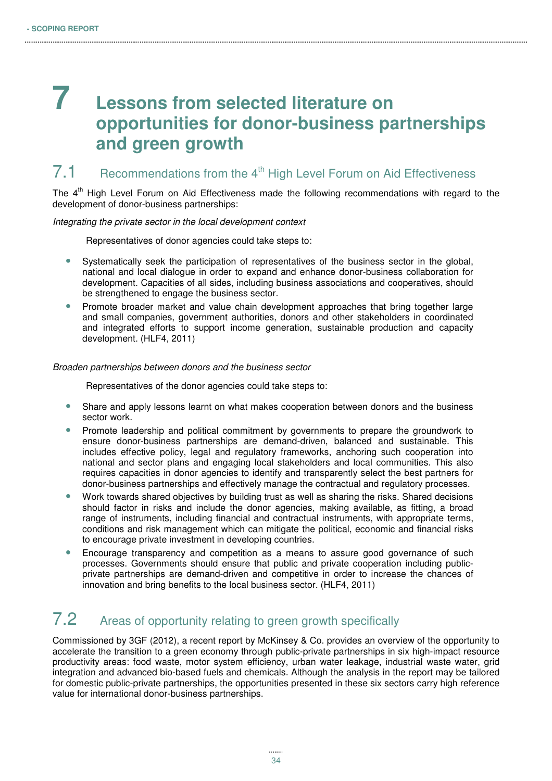## **7 Lessons from selected literature on opportunities for donor-business partnerships and green growth**

### 7.1 Recommendations from the 4<sup>th</sup> High Level Forum on Aid Effectiveness

The 4<sup>th</sup> High Level Forum on Aid Effectiveness made the following recommendations with regard to the development of donor-business partnerships:

### Integrating the private sector in the local development context

Representatives of donor agencies could take steps to:

- Systematically seek the participation of representatives of the business sector in the global, national and local dialogue in order to expand and enhance donor-business collaboration for development. Capacities of all sides, including business associations and cooperatives, should be strengthened to engage the business sector.
- Promote broader market and value chain development approaches that bring together large and small companies, government authorities, donors and other stakeholders in coordinated and integrated efforts to support income generation, sustainable production and capacity development. (HLF4, 2011)

Broaden partnerships between donors and the business sector

Representatives of the donor agencies could take steps to:

- Share and apply lessons learnt on what makes cooperation between donors and the business sector work.
- Promote leadership and political commitment by governments to prepare the groundwork to ensure donor-business partnerships are demand-driven, balanced and sustainable. This includes effective policy, legal and regulatory frameworks, anchoring such cooperation into national and sector plans and engaging local stakeholders and local communities. This also requires capacities in donor agencies to identify and transparently select the best partners for donor-business partnerships and effectively manage the contractual and regulatory processes.
- Work towards shared objectives by building trust as well as sharing the risks. Shared decisions should factor in risks and include the donor agencies, making available, as fitting, a broad range of instruments, including financial and contractual instruments, with appropriate terms, conditions and risk management which can mitigate the political, economic and financial risks to encourage private investment in developing countries.
- Encourage transparency and competition as a means to assure good governance of such processes. Governments should ensure that public and private cooperation including publicprivate partnerships are demand-driven and competitive in order to increase the chances of innovation and bring benefits to the local business sector. (HLF4, 2011)

### 7.2 Areas of opportunity relating to green growth specifically

Commissioned by 3GF (2012), a recent report by McKinsey & Co. provides an overview of the opportunity to accelerate the transition to a green economy through public-private partnerships in six high-impact resource productivity areas: food waste, motor system efficiency, urban water leakage, industrial waste water, grid integration and advanced bio-based fuels and chemicals. Although the analysis in the report may be tailored for domestic public-private partnerships, the opportunities presented in these six sectors carry high reference value for international donor-business partnerships.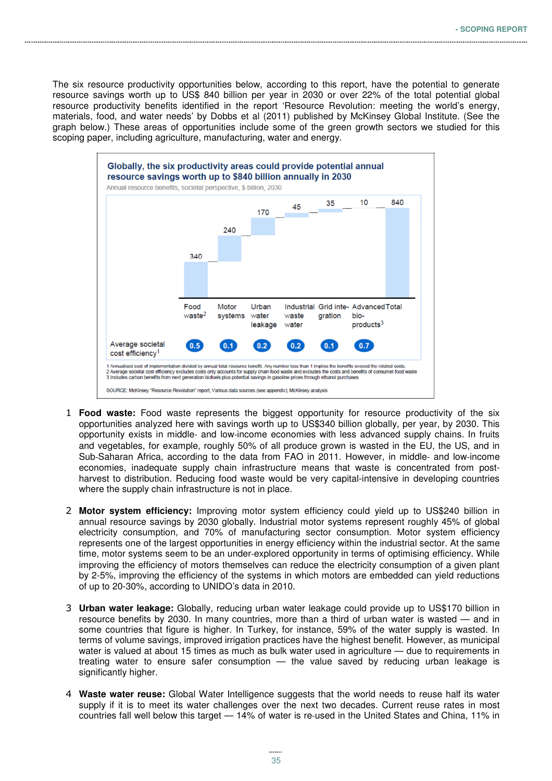The six resource productivity opportunities below, according to this report, have the potential to generate resource savings worth up to US\$ 840 billion per year in 2030 or over 22% of the total potential global resource productivity benefits identified in the report 'Resource Revolution: meeting the world's energy, materials, food, and water needs' by Dobbs et al (2011) published by McKinsey Global Institute. (See the graph below.) These areas of opportunities include some of the green growth sectors we studied for this scoping paper, including agriculture, manufacturing, water and energy.



- 1 **Food waste:** Food waste represents the biggest opportunity for resource productivity of the six opportunities analyzed here with savings worth up to US\$340 billion globally, per year, by 2030. This opportunity exists in middle‐ and low‐income economies with less advanced supply chains. In fruits and vegetables, for example, roughly 50% of all produce grown is wasted in the EU, the US, and in Sub‐Saharan Africa, according to the data from FAO in 2011. However, in middle‐ and low‐income economies, inadequate supply chain infrastructure means that waste is concentrated from postharvest to distribution. Reducing food waste would be very capital-intensive in developing countries where the supply chain infrastructure is not in place.
- 2 **Motor system efficiency:** Improving motor system efficiency could yield up to US\$240 billion in annual resource savings by 2030 globally. Industrial motor systems represent roughly 45% of global electricity consumption, and 70% of manufacturing sector consumption. Motor system efficiency represents one of the largest opportunities in energy efficiency within the industrial sector. At the same time, motor systems seem to be an under-explored opportunity in terms of optimising efficiency. While improving the efficiency of motors themselves can reduce the electricity consumption of a given plant by 2-5%, improving the efficiency of the systems in which motors are embedded can yield reductions of up to 20-30%, according to UNIDO's data in 2010.
- 3 **Urban water leakage:** Globally, reducing urban water leakage could provide up to US\$170 billion in resource benefits by 2030. In many countries, more than a third of urban water is wasted — and in some countries that figure is higher. In Turkey, for instance, 59% of the water supply is wasted. In terms of volume savings, improved irrigation practices have the highest benefit. However, as municipal water is valued at about 15 times as much as bulk water used in agriculture — due to requirements in treating water to ensure safer consumption — the value saved by reducing urban leakage is significantly higher.
- 4 **Waste water reuse:** Global Water Intelligence suggests that the world needs to reuse half its water supply if it is to meet its water challenges over the next two decades. Current reuse rates in most countries fall well below this target — 14% of water is re-used in the United States and China, 11% in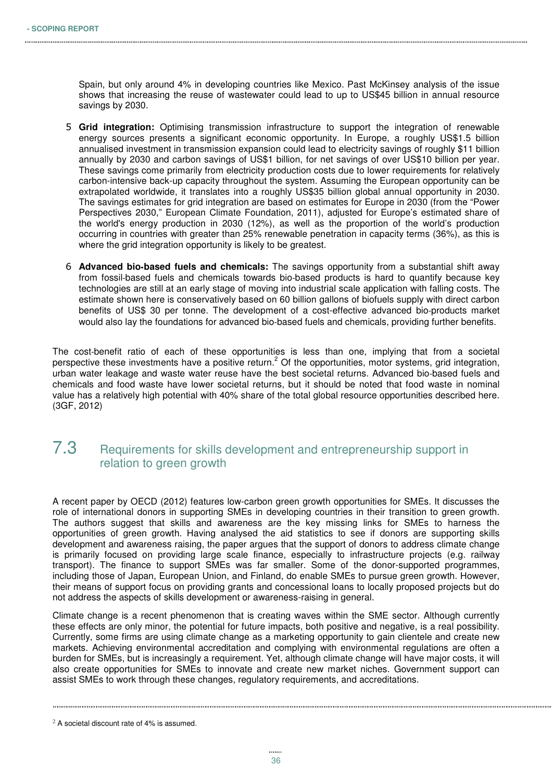Spain, but only around 4% in developing countries like Mexico. Past McKinsey analysis of the issue shows that increasing the reuse of wastewater could lead to up to US\$45 billion in annual resource savings by 2030.

- 5 **Grid integration:** Optimising transmission infrastructure to support the integration of renewable energy sources presents a significant economic opportunity. In Europe, a roughly US\$1.5 billion annualised investment in transmission expansion could lead to electricity savings of roughly \$11 billion annually by 2030 and carbon savings of US\$1 billion, for net savings of over US\$10 billion per year. These savings come primarily from electricity production costs due to lower requirements for relatively carbon-intensive back-up capacity throughout the system. Assuming the European opportunity can be extrapolated worldwide, it translates into a roughly US\$35 billion global annual opportunity in 2030. The savings estimates for grid integration are based on estimates for Europe in 2030 (from the "Power Perspectives 2030," European Climate Foundation, 2011), adjusted for Europe's estimated share of the world's energy production in 2030 (12%), as well as the proportion of the world's production occurring in countries with greater than 25% renewable penetration in capacity terms (36%), as this is where the grid integration opportunity is likely to be greatest.
- 6 **Advanced bio**‐**based fuels and chemicals:** The savings opportunity from a substantial shift away from fossil‐based fuels and chemicals towards bio‐based products is hard to quantify because key technologies are still at an early stage of moving into industrial scale application with falling costs. The estimate shown here is conservatively based on 60 billion gallons of biofuels supply with direct carbon benefits of US\$ 30 per tonne. The development of a cost-effective advanced bio‐products market would also lay the foundations for advanced bio‐based fuels and chemicals, providing further benefits.

The cost-benefit ratio of each of these opportunities is less than one, implying that from a societal perspective these investments have a positive return.<sup>2</sup> Of the opportunities, motor systems, grid integration, urban water leakage and waste water reuse have the best societal returns. Advanced bio‐based fuels and chemicals and food waste have lower societal returns, but it should be noted that food waste in nominal value has a relatively high potential with 40% share of the total global resource opportunities described here. (3GF, 2012)

### 7.3 Requirements for skills development and entrepreneurship support in relation to green growth

A recent paper by OECD (2012) features low-carbon green growth opportunities for SMEs. It discusses the role of international donors in supporting SMEs in developing countries in their transition to green growth. The authors suggest that skills and awareness are the key missing links for SMEs to harness the opportunities of green growth. Having analysed the aid statistics to see if donors are supporting skills development and awareness raising, the paper argues that the support of donors to address climate change is primarily focused on providing large scale finance, especially to infrastructure projects (e.g. railway transport). The finance to support SMEs was far smaller. Some of the donor-supported programmes, including those of Japan, European Union, and Finland, do enable SMEs to pursue green growth. However, their means of support focus on providing grants and concessional loans to locally proposed projects but do not address the aspects of skills development or awareness-raising in general.

Climate change is a recent phenomenon that is creating waves within the SME sector. Although currently these effects are only minor, the potential for future impacts, both positive and negative, is a real possibility. Currently, some firms are using climate change as a marketing opportunity to gain clientele and create new markets. Achieving environmental accreditation and complying with environmental regulations are often a burden for SMEs, but is increasingly a requirement. Yet, although climate change will have major costs, it will also create opportunities for SMEs to innovate and create new market niches. Government support can assist SMEs to work through these changes, regulatory requirements, and accreditations.

 $2$  A societal discount rate of 4% is assumed.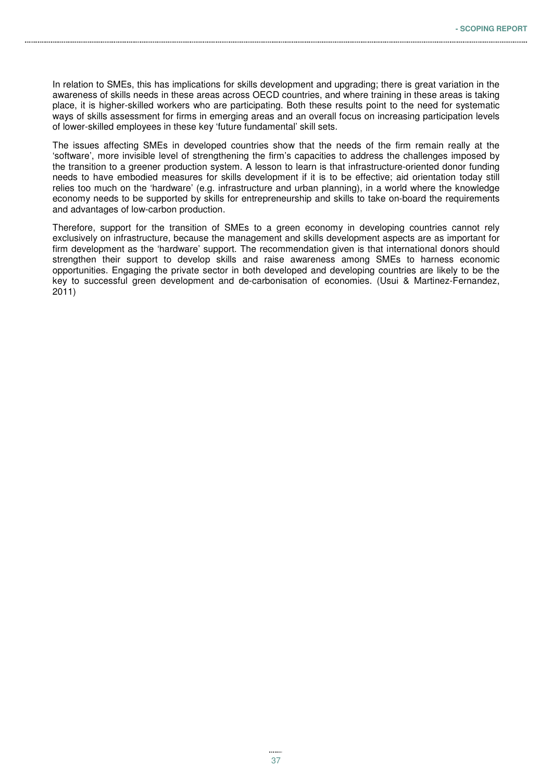In relation to SMEs, this has implications for skills development and upgrading; there is great variation in the awareness of skills needs in these areas across OECD countries, and where training in these areas is taking place, it is higher-skilled workers who are participating. Both these results point to the need for systematic ways of skills assessment for firms in emerging areas and an overall focus on increasing participation levels of lower-skilled employees in these key 'future fundamental' skill sets.

The issues affecting SMEs in developed countries show that the needs of the firm remain really at the 'software', more invisible level of strengthening the firm's capacities to address the challenges imposed by the transition to a greener production system. A lesson to learn is that infrastructure-oriented donor funding needs to have embodied measures for skills development if it is to be effective; aid orientation today still relies too much on the 'hardware' (e.g. infrastructure and urban planning), in a world where the knowledge economy needs to be supported by skills for entrepreneurship and skills to take on-board the requirements and advantages of low-carbon production.

Therefore, support for the transition of SMEs to a green economy in developing countries cannot rely exclusively on infrastructure, because the management and skills development aspects are as important for firm development as the 'hardware' support. The recommendation given is that international donors should strengthen their support to develop skills and raise awareness among SMEs to harness economic opportunities. Engaging the private sector in both developed and developing countries are likely to be the key to successful green development and de-carbonisation of economies. (Usui & Martinez-Fernandez, 2011)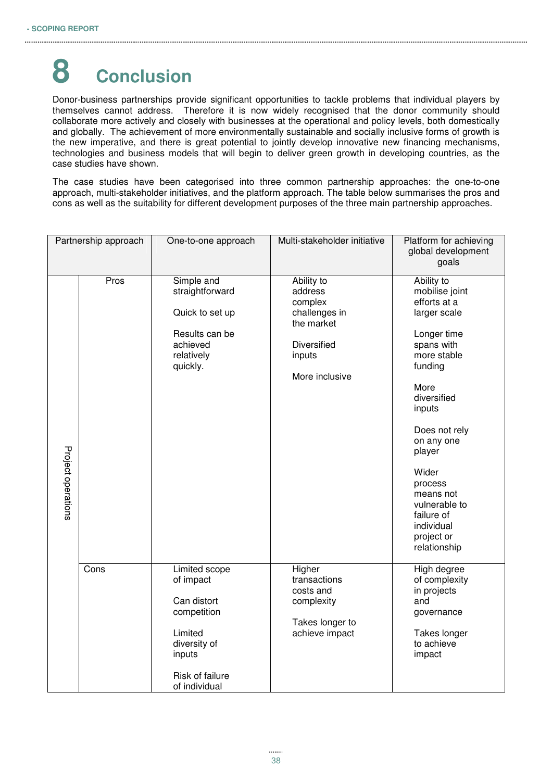# **8 Conclusion**

Donor-business partnerships provide significant opportunities to tackle problems that individual players by themselves cannot address. Therefore it is now widely recognised that the donor community should collaborate more actively and closely with businesses at the operational and policy levels, both domestically and globally. The achievement of more environmentally sustainable and socially inclusive forms of growth is the new imperative, and there is great potential to jointly develop innovative new financing mechanisms, technologies and business models that will begin to deliver green growth in developing countries, as the case studies have shown.

The case studies have been categorised into three common partnership approaches: the one-to-one approach, multi-stakeholder initiatives, and the platform approach. The table below summarises the pros and cons as well as the suitability for different development purposes of the three main partnership approaches.

|                    | Partnership approach | One-to-one approach                                                                                                               | Multi-stakeholder initiative                                                                                      | Platform for achieving<br>global development<br>goals                                                                                                                                                                                                                                                     |
|--------------------|----------------------|-----------------------------------------------------------------------------------------------------------------------------------|-------------------------------------------------------------------------------------------------------------------|-----------------------------------------------------------------------------------------------------------------------------------------------------------------------------------------------------------------------------------------------------------------------------------------------------------|
| Project operations | Pros                 | Simple and<br>straightforward<br>Quick to set up<br>Results can be<br>achieved<br>relatively<br>quickly.                          | Ability to<br>address<br>complex<br>challenges in<br>the market<br><b>Diversified</b><br>inputs<br>More inclusive | Ability to<br>mobilise joint<br>efforts at a<br>larger scale<br>Longer time<br>spans with<br>more stable<br>funding<br>More<br>diversified<br>inputs<br>Does not rely<br>on any one<br>player<br>Wider<br>process<br>means not<br>vulnerable to<br>failure of<br>individual<br>project or<br>relationship |
|                    | Cons                 | Limited scope<br>of impact<br>Can distort<br>competition<br>Limited<br>diversity of<br>inputs<br>Risk of failure<br>of individual | Higher<br>transactions<br>costs and<br>complexity<br>Takes longer to<br>achieve impact                            | High degree<br>of complexity<br>in projects<br>and<br>governance<br>Takes longer<br>to achieve<br>impact                                                                                                                                                                                                  |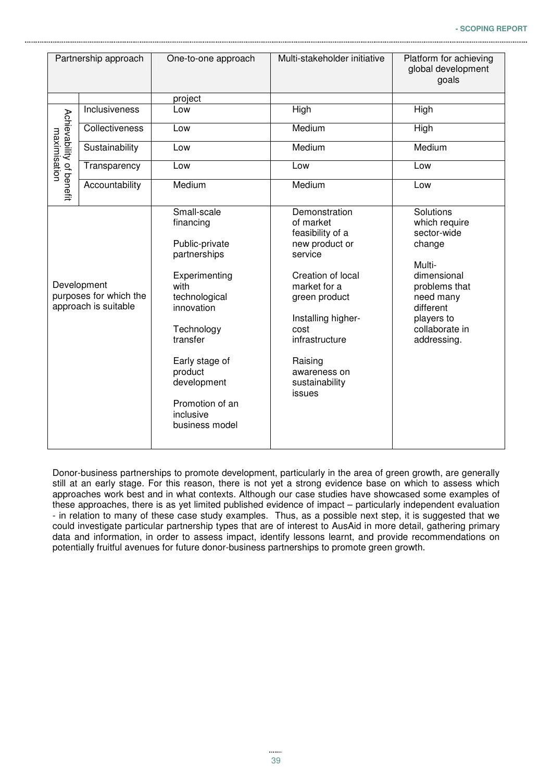|                                          | Partnership approach                                          | One-to-one approach                                                                                                                                                                                                                        | Multi-stakeholder initiative                                                                                                                                                                                                             | Platform for achieving<br>global development<br>goals                                                                                                                  |
|------------------------------------------|---------------------------------------------------------------|--------------------------------------------------------------------------------------------------------------------------------------------------------------------------------------------------------------------------------------------|------------------------------------------------------------------------------------------------------------------------------------------------------------------------------------------------------------------------------------------|------------------------------------------------------------------------------------------------------------------------------------------------------------------------|
|                                          |                                                               | project                                                                                                                                                                                                                                    |                                                                                                                                                                                                                                          |                                                                                                                                                                        |
| Achievability of benefit<br>maximisation | Inclusiveness                                                 | Low                                                                                                                                                                                                                                        | High                                                                                                                                                                                                                                     | High                                                                                                                                                                   |
|                                          | Collectiveness                                                | Low                                                                                                                                                                                                                                        | Medium                                                                                                                                                                                                                                   | High                                                                                                                                                                   |
|                                          | Sustainability                                                | Low                                                                                                                                                                                                                                        | Medium                                                                                                                                                                                                                                   | Medium                                                                                                                                                                 |
|                                          | Transparency                                                  | Low                                                                                                                                                                                                                                        | Low                                                                                                                                                                                                                                      | Low                                                                                                                                                                    |
|                                          | Accountability                                                | Medium                                                                                                                                                                                                                                     | Medium                                                                                                                                                                                                                                   | Low                                                                                                                                                                    |
|                                          | Development<br>purposes for which the<br>approach is suitable | Small-scale<br>financing<br>Public-private<br>partnerships<br>Experimenting<br>with<br>technological<br>innovation<br>Technology<br>transfer<br>Early stage of<br>product<br>development<br>Promotion of an<br>inclusive<br>business model | Demonstration<br>of market<br>feasibility of a<br>new product or<br>service<br>Creation of local<br>market for a<br>green product<br>Installing higher-<br>cost<br>infrastructure<br>Raising<br>awareness on<br>sustainability<br>issues | Solutions<br>which require<br>sector-wide<br>change<br>Multi-<br>dimensional<br>problems that<br>need many<br>different<br>players to<br>collaborate in<br>addressing. |

Donor-business partnerships to promote development, particularly in the area of green growth, are generally still at an early stage. For this reason, there is not yet a strong evidence base on which to assess which approaches work best and in what contexts. Although our case studies have showcased some examples of these approaches, there is as yet limited published evidence of impact – particularly independent evaluation - in relation to many of these case study examples. Thus, as a possible next step, it is suggested that we could investigate particular partnership types that are of interest to AusAid in more detail, gathering primary data and information, in order to assess impact, identify lessons learnt, and provide recommendations on potentially fruitful avenues for future donor-business partnerships to promote green growth.